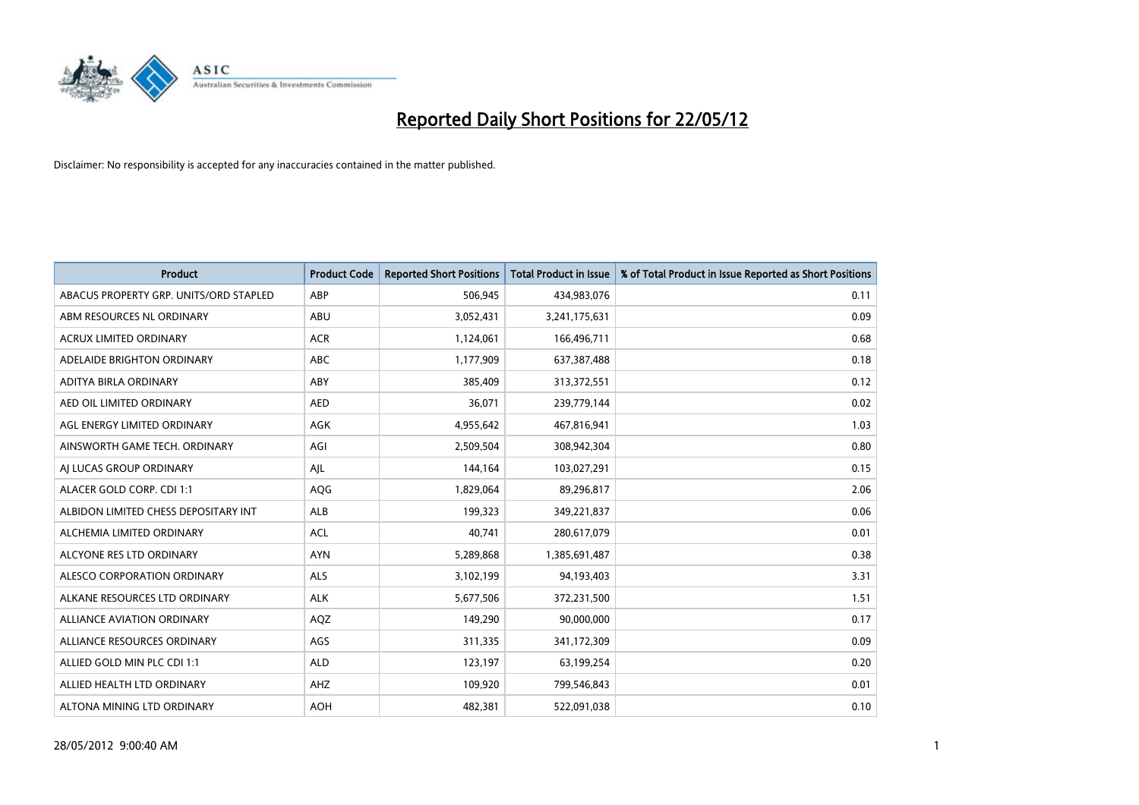

| <b>Product</b>                         | <b>Product Code</b> | <b>Reported Short Positions</b> | <b>Total Product in Issue</b> | % of Total Product in Issue Reported as Short Positions |
|----------------------------------------|---------------------|---------------------------------|-------------------------------|---------------------------------------------------------|
| ABACUS PROPERTY GRP. UNITS/ORD STAPLED | ABP                 | 506,945                         | 434,983,076                   | 0.11                                                    |
| ABM RESOURCES NL ORDINARY              | ABU                 | 3,052,431                       | 3,241,175,631                 | 0.09                                                    |
| <b>ACRUX LIMITED ORDINARY</b>          | <b>ACR</b>          | 1,124,061                       | 166,496,711                   | 0.68                                                    |
| ADELAIDE BRIGHTON ORDINARY             | <b>ABC</b>          | 1,177,909                       | 637,387,488                   | 0.18                                                    |
| ADITYA BIRLA ORDINARY                  | ABY                 | 385,409                         | 313,372,551                   | 0.12                                                    |
| AED OIL LIMITED ORDINARY               | <b>AED</b>          | 36,071                          | 239,779,144                   | 0.02                                                    |
| AGL ENERGY LIMITED ORDINARY            | AGK                 | 4,955,642                       | 467,816,941                   | 1.03                                                    |
| AINSWORTH GAME TECH. ORDINARY          | AGI                 | 2,509,504                       | 308,942,304                   | 0.80                                                    |
| AI LUCAS GROUP ORDINARY                | AJL                 | 144,164                         | 103,027,291                   | 0.15                                                    |
| ALACER GOLD CORP. CDI 1:1              | AQG                 | 1,829,064                       | 89,296,817                    | 2.06                                                    |
| ALBIDON LIMITED CHESS DEPOSITARY INT   | ALB                 | 199,323                         | 349,221,837                   | 0.06                                                    |
| ALCHEMIA LIMITED ORDINARY              | <b>ACL</b>          | 40,741                          | 280,617,079                   | 0.01                                                    |
| ALCYONE RES LTD ORDINARY               | <b>AYN</b>          | 5,289,868                       | 1,385,691,487                 | 0.38                                                    |
| ALESCO CORPORATION ORDINARY            | ALS                 | 3,102,199                       | 94,193,403                    | 3.31                                                    |
| ALKANE RESOURCES LTD ORDINARY          | <b>ALK</b>          | 5,677,506                       | 372,231,500                   | 1.51                                                    |
| ALLIANCE AVIATION ORDINARY             | AQZ                 | 149,290                         | 90,000,000                    | 0.17                                                    |
| ALLIANCE RESOURCES ORDINARY            | AGS                 | 311,335                         | 341,172,309                   | 0.09                                                    |
| ALLIED GOLD MIN PLC CDI 1:1            | <b>ALD</b>          | 123,197                         | 63,199,254                    | 0.20                                                    |
| ALLIED HEALTH LTD ORDINARY             | AHZ                 | 109,920                         | 799,546,843                   | 0.01                                                    |
| ALTONA MINING LTD ORDINARY             | <b>AOH</b>          | 482,381                         | 522,091,038                   | 0.10                                                    |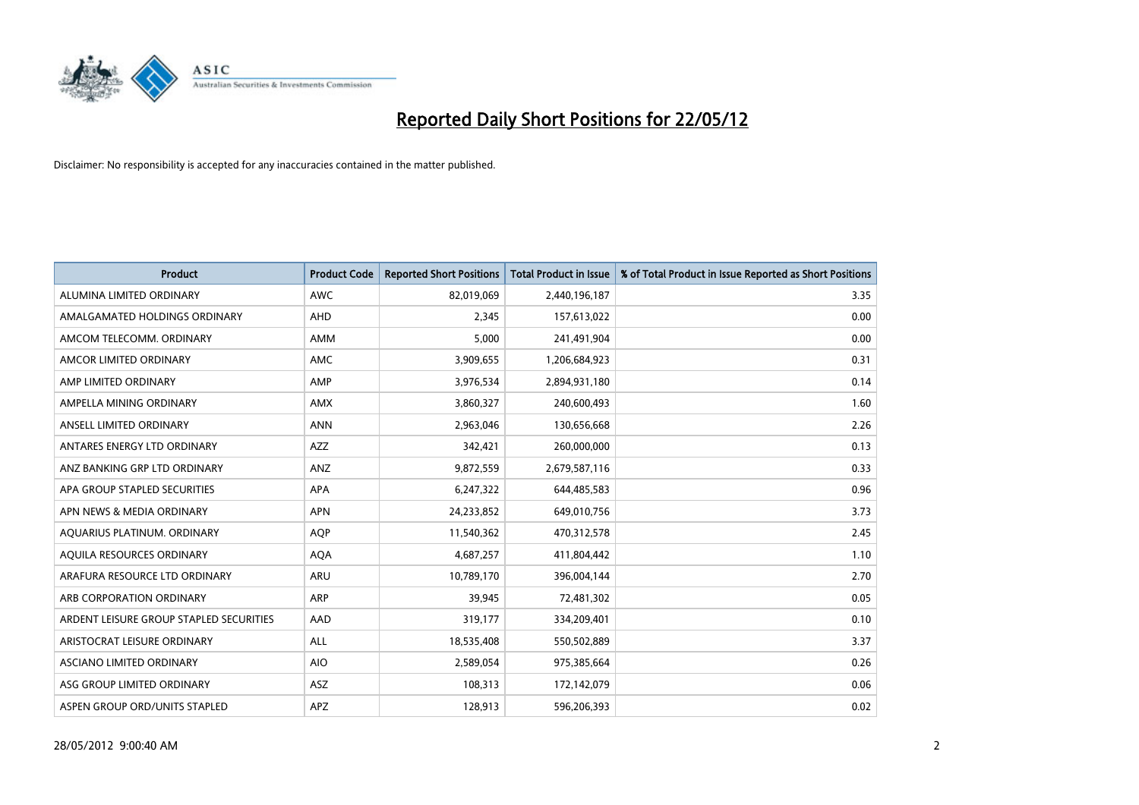

| <b>Product</b>                          | <b>Product Code</b> | <b>Reported Short Positions</b> | <b>Total Product in Issue</b> | % of Total Product in Issue Reported as Short Positions |
|-----------------------------------------|---------------------|---------------------------------|-------------------------------|---------------------------------------------------------|
| ALUMINA LIMITED ORDINARY                | <b>AWC</b>          | 82,019,069                      | 2,440,196,187                 | 3.35                                                    |
| AMALGAMATED HOLDINGS ORDINARY           | <b>AHD</b>          | 2,345                           | 157,613,022                   | 0.00                                                    |
| AMCOM TELECOMM. ORDINARY                | AMM                 | 5,000                           | 241,491,904                   | 0.00                                                    |
| AMCOR LIMITED ORDINARY                  | AMC                 | 3,909,655                       | 1,206,684,923                 | 0.31                                                    |
| AMP LIMITED ORDINARY                    | AMP                 | 3,976,534                       | 2,894,931,180                 | 0.14                                                    |
| AMPELLA MINING ORDINARY                 | AMX                 | 3,860,327                       | 240,600,493                   | 1.60                                                    |
| ANSELL LIMITED ORDINARY                 | <b>ANN</b>          | 2,963,046                       | 130,656,668                   | 2.26                                                    |
| ANTARES ENERGY LTD ORDINARY             | AZZ                 | 342,421                         | 260,000,000                   | 0.13                                                    |
| ANZ BANKING GRP LTD ORDINARY            | ANZ                 | 9,872,559                       | 2,679,587,116                 | 0.33                                                    |
| APA GROUP STAPLED SECURITIES            | <b>APA</b>          | 6,247,322                       | 644,485,583                   | 0.96                                                    |
| APN NEWS & MEDIA ORDINARY               | <b>APN</b>          | 24,233,852                      | 649,010,756                   | 3.73                                                    |
| AQUARIUS PLATINUM. ORDINARY             | <b>AOP</b>          | 11,540,362                      | 470,312,578                   | 2.45                                                    |
| AQUILA RESOURCES ORDINARY               | <b>AQA</b>          | 4,687,257                       | 411,804,442                   | 1.10                                                    |
| ARAFURA RESOURCE LTD ORDINARY           | <b>ARU</b>          | 10,789,170                      | 396,004,144                   | 2.70                                                    |
| ARB CORPORATION ORDINARY                | <b>ARP</b>          | 39,945                          | 72,481,302                    | 0.05                                                    |
| ARDENT LEISURE GROUP STAPLED SECURITIES | AAD                 | 319,177                         | 334,209,401                   | 0.10                                                    |
| ARISTOCRAT LEISURE ORDINARY             | ALL                 | 18,535,408                      | 550,502,889                   | 3.37                                                    |
| ASCIANO LIMITED ORDINARY                | <b>AIO</b>          | 2,589,054                       | 975,385,664                   | 0.26                                                    |
| ASG GROUP LIMITED ORDINARY              | <b>ASZ</b>          | 108,313                         | 172,142,079                   | 0.06                                                    |
| ASPEN GROUP ORD/UNITS STAPLED           | <b>APZ</b>          | 128,913                         | 596,206,393                   | 0.02                                                    |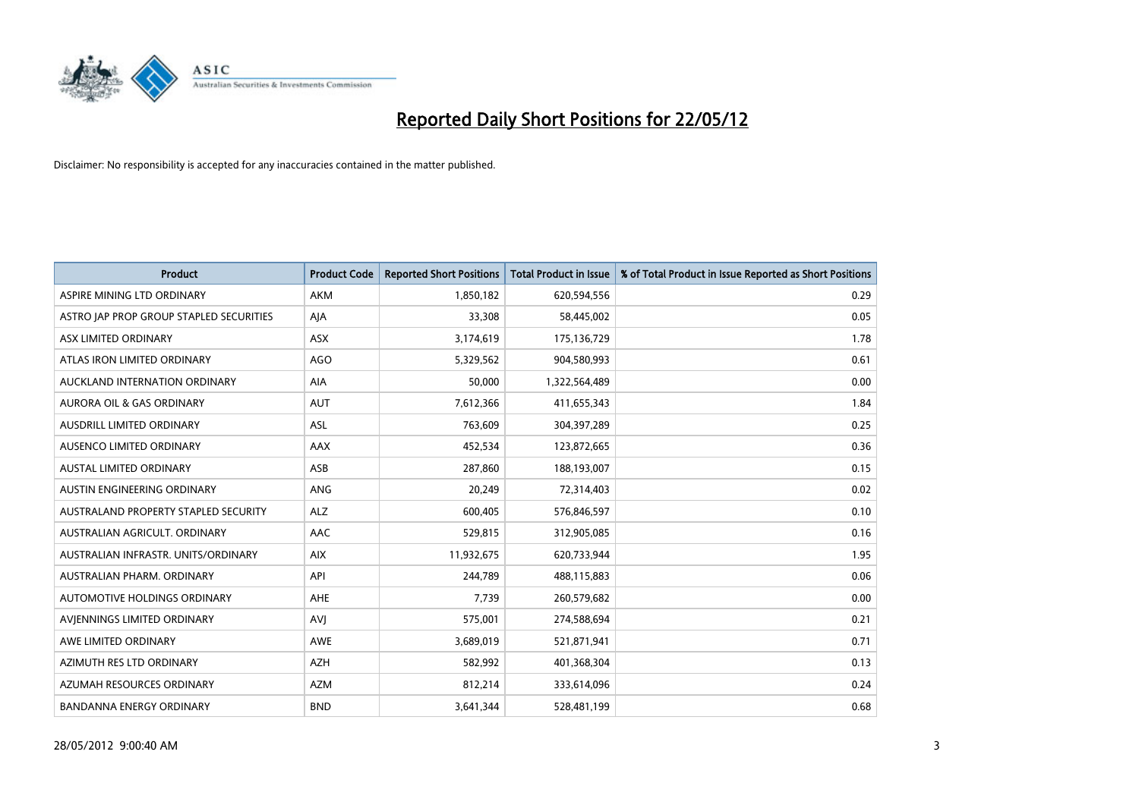

| <b>Product</b>                          | <b>Product Code</b> | <b>Reported Short Positions</b> | <b>Total Product in Issue</b> | % of Total Product in Issue Reported as Short Positions |
|-----------------------------------------|---------------------|---------------------------------|-------------------------------|---------------------------------------------------------|
| ASPIRE MINING LTD ORDINARY              | <b>AKM</b>          | 1,850,182                       | 620,594,556                   | 0.29                                                    |
| ASTRO JAP PROP GROUP STAPLED SECURITIES | AJA                 | 33,308                          | 58,445,002                    | 0.05                                                    |
| ASX LIMITED ORDINARY                    | ASX                 | 3,174,619                       | 175,136,729                   | 1.78                                                    |
| ATLAS IRON LIMITED ORDINARY             | <b>AGO</b>          | 5,329,562                       | 904,580,993                   | 0.61                                                    |
| AUCKLAND INTERNATION ORDINARY           | AIA                 | 50,000                          | 1,322,564,489                 | 0.00                                                    |
| <b>AURORA OIL &amp; GAS ORDINARY</b>    | <b>AUT</b>          | 7,612,366                       | 411,655,343                   | 1.84                                                    |
| AUSDRILL LIMITED ORDINARY               | ASL                 | 763,609                         | 304,397,289                   | 0.25                                                    |
| AUSENCO LIMITED ORDINARY                | AAX                 | 452,534                         | 123,872,665                   | 0.36                                                    |
| <b>AUSTAL LIMITED ORDINARY</b>          | ASB                 | 287,860                         | 188,193,007                   | 0.15                                                    |
| AUSTIN ENGINEERING ORDINARY             | ANG                 | 20,249                          | 72,314,403                    | 0.02                                                    |
| AUSTRALAND PROPERTY STAPLED SECURITY    | <b>ALZ</b>          | 600,405                         | 576,846,597                   | 0.10                                                    |
| AUSTRALIAN AGRICULT, ORDINARY           | AAC                 | 529,815                         | 312,905,085                   | 0.16                                                    |
| AUSTRALIAN INFRASTR, UNITS/ORDINARY     | <b>AIX</b>          | 11,932,675                      | 620,733,944                   | 1.95                                                    |
| AUSTRALIAN PHARM, ORDINARY              | API                 | 244,789                         | 488,115,883                   | 0.06                                                    |
| AUTOMOTIVE HOLDINGS ORDINARY            | AHE                 | 7,739                           | 260,579,682                   | 0.00                                                    |
| AVIENNINGS LIMITED ORDINARY             | <b>AVJ</b>          | 575,001                         | 274,588,694                   | 0.21                                                    |
| AWE LIMITED ORDINARY                    | AWE                 | 3,689,019                       | 521,871,941                   | 0.71                                                    |
| AZIMUTH RES LTD ORDINARY                | <b>AZH</b>          | 582,992                         | 401,368,304                   | 0.13                                                    |
| AZUMAH RESOURCES ORDINARY               | <b>AZM</b>          | 812,214                         | 333,614,096                   | 0.24                                                    |
| <b>BANDANNA ENERGY ORDINARY</b>         | <b>BND</b>          | 3,641,344                       | 528,481,199                   | 0.68                                                    |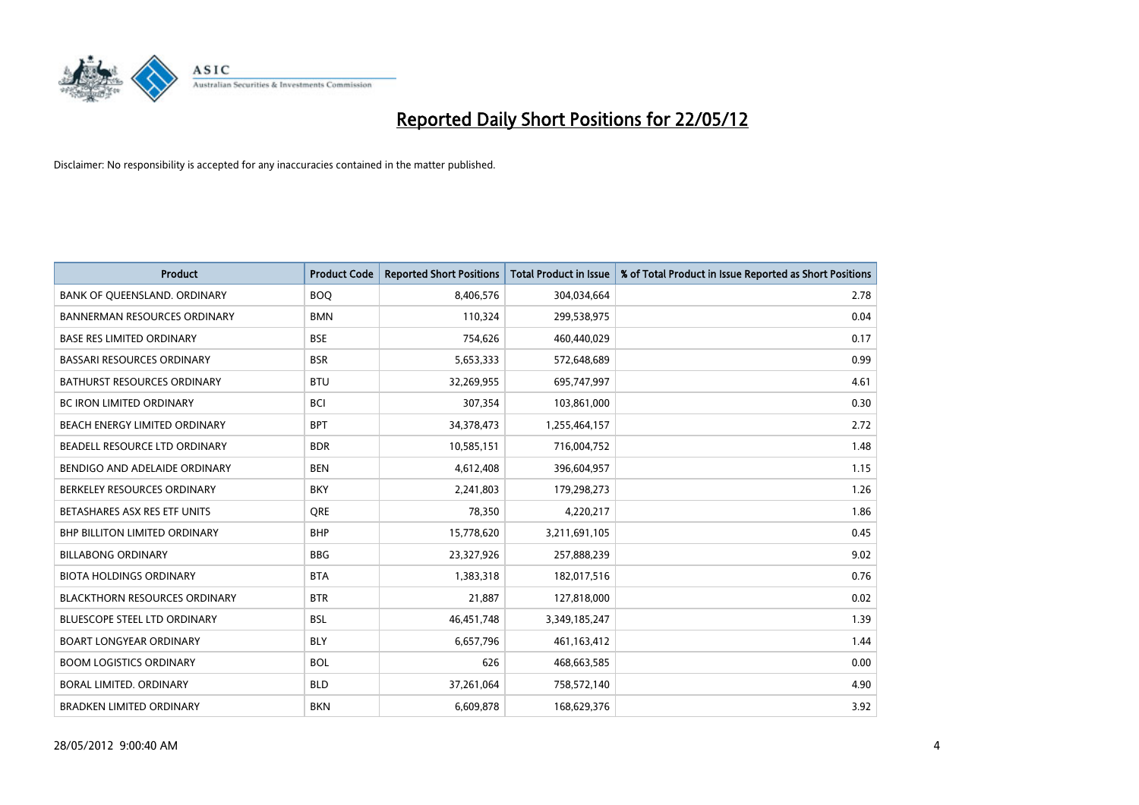

| <b>Product</b>                       | <b>Product Code</b> | <b>Reported Short Positions</b> | <b>Total Product in Issue</b> | % of Total Product in Issue Reported as Short Positions |
|--------------------------------------|---------------------|---------------------------------|-------------------------------|---------------------------------------------------------|
| BANK OF QUEENSLAND. ORDINARY         | <b>BOQ</b>          | 8,406,576                       | 304,034,664                   | 2.78                                                    |
| <b>BANNERMAN RESOURCES ORDINARY</b>  | <b>BMN</b>          | 110,324                         | 299,538,975                   | 0.04                                                    |
| <b>BASE RES LIMITED ORDINARY</b>     | <b>BSE</b>          | 754,626                         | 460,440,029                   | 0.17                                                    |
| <b>BASSARI RESOURCES ORDINARY</b>    | <b>BSR</b>          | 5,653,333                       | 572,648,689                   | 0.99                                                    |
| <b>BATHURST RESOURCES ORDINARY</b>   | <b>BTU</b>          | 32,269,955                      | 695,747,997                   | 4.61                                                    |
| <b>BC IRON LIMITED ORDINARY</b>      | <b>BCI</b>          | 307,354                         | 103,861,000                   | 0.30                                                    |
| <b>BEACH ENERGY LIMITED ORDINARY</b> | <b>BPT</b>          | 34,378,473                      | 1,255,464,157                 | 2.72                                                    |
| BEADELL RESOURCE LTD ORDINARY        | <b>BDR</b>          | 10,585,151                      | 716,004,752                   | 1.48                                                    |
| BENDIGO AND ADELAIDE ORDINARY        | <b>BEN</b>          | 4,612,408                       | 396,604,957                   | 1.15                                                    |
| BERKELEY RESOURCES ORDINARY          | <b>BKY</b>          | 2,241,803                       | 179,298,273                   | 1.26                                                    |
| BETASHARES ASX RES ETF UNITS         | <b>ORE</b>          | 78,350                          | 4,220,217                     | 1.86                                                    |
| <b>BHP BILLITON LIMITED ORDINARY</b> | <b>BHP</b>          | 15,778,620                      | 3,211,691,105                 | 0.45                                                    |
| <b>BILLABONG ORDINARY</b>            | <b>BBG</b>          | 23,327,926                      | 257,888,239                   | 9.02                                                    |
| <b>BIOTA HOLDINGS ORDINARY</b>       | <b>BTA</b>          | 1,383,318                       | 182,017,516                   | 0.76                                                    |
| <b>BLACKTHORN RESOURCES ORDINARY</b> | <b>BTR</b>          | 21,887                          | 127,818,000                   | 0.02                                                    |
| <b>BLUESCOPE STEEL LTD ORDINARY</b>  | <b>BSL</b>          | 46,451,748                      | 3,349,185,247                 | 1.39                                                    |
| <b>BOART LONGYEAR ORDINARY</b>       | <b>BLY</b>          | 6,657,796                       | 461,163,412                   | 1.44                                                    |
| <b>BOOM LOGISTICS ORDINARY</b>       | <b>BOL</b>          | 626                             | 468,663,585                   | 0.00                                                    |
| <b>BORAL LIMITED, ORDINARY</b>       | <b>BLD</b>          | 37,261,064                      | 758,572,140                   | 4.90                                                    |
| <b>BRADKEN LIMITED ORDINARY</b>      | <b>BKN</b>          | 6,609,878                       | 168,629,376                   | 3.92                                                    |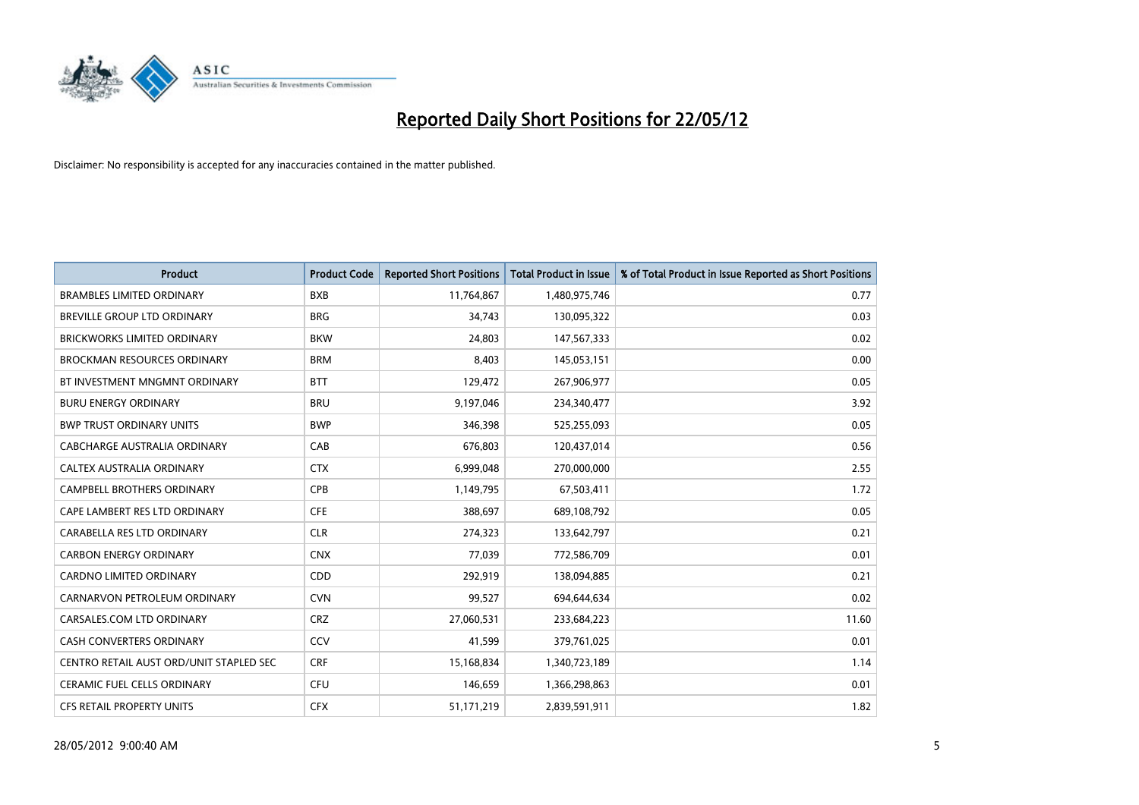

| <b>Product</b>                          | <b>Product Code</b> | <b>Reported Short Positions</b> | <b>Total Product in Issue</b> | % of Total Product in Issue Reported as Short Positions |
|-----------------------------------------|---------------------|---------------------------------|-------------------------------|---------------------------------------------------------|
| <b>BRAMBLES LIMITED ORDINARY</b>        | <b>BXB</b>          | 11,764,867                      | 1,480,975,746                 | 0.77                                                    |
| BREVILLE GROUP LTD ORDINARY             | <b>BRG</b>          | 34,743                          | 130,095,322                   | 0.03                                                    |
| <b>BRICKWORKS LIMITED ORDINARY</b>      | <b>BKW</b>          | 24,803                          | 147,567,333                   | 0.02                                                    |
| <b>BROCKMAN RESOURCES ORDINARY</b>      | <b>BRM</b>          | 8,403                           | 145,053,151                   | 0.00                                                    |
| BT INVESTMENT MNGMNT ORDINARY           | <b>BTT</b>          | 129,472                         | 267,906,977                   | 0.05                                                    |
| <b>BURU ENERGY ORDINARY</b>             | <b>BRU</b>          | 9,197,046                       | 234,340,477                   | 3.92                                                    |
| <b>BWP TRUST ORDINARY UNITS</b>         | <b>BWP</b>          | 346,398                         | 525,255,093                   | 0.05                                                    |
| <b>CABCHARGE AUSTRALIA ORDINARY</b>     | CAB                 | 676,803                         | 120,437,014                   | 0.56                                                    |
| CALTEX AUSTRALIA ORDINARY               | <b>CTX</b>          | 6,999,048                       | 270,000,000                   | 2.55                                                    |
| <b>CAMPBELL BROTHERS ORDINARY</b>       | <b>CPB</b>          | 1,149,795                       | 67,503,411                    | 1.72                                                    |
| CAPE LAMBERT RES LTD ORDINARY           | <b>CFE</b>          | 388,697                         | 689,108,792                   | 0.05                                                    |
| CARABELLA RES LTD ORDINARY              | <b>CLR</b>          | 274,323                         | 133,642,797                   | 0.21                                                    |
| <b>CARBON ENERGY ORDINARY</b>           | <b>CNX</b>          | 77,039                          | 772,586,709                   | 0.01                                                    |
| <b>CARDNO LIMITED ORDINARY</b>          | CDD                 | 292,919                         | 138,094,885                   | 0.21                                                    |
| CARNARVON PETROLEUM ORDINARY            | <b>CVN</b>          | 99,527                          | 694,644,634                   | 0.02                                                    |
| CARSALES.COM LTD ORDINARY               | <b>CRZ</b>          | 27,060,531                      | 233,684,223                   | 11.60                                                   |
| CASH CONVERTERS ORDINARY                | CCV                 | 41,599                          | 379,761,025                   | 0.01                                                    |
| CENTRO RETAIL AUST ORD/UNIT STAPLED SEC | <b>CRF</b>          | 15,168,834                      | 1,340,723,189                 | 1.14                                                    |
| CERAMIC FUEL CELLS ORDINARY             | <b>CFU</b>          | 146,659                         | 1,366,298,863                 | 0.01                                                    |
| CFS RETAIL PROPERTY UNITS               | <b>CFX</b>          | 51,171,219                      | 2,839,591,911                 | 1.82                                                    |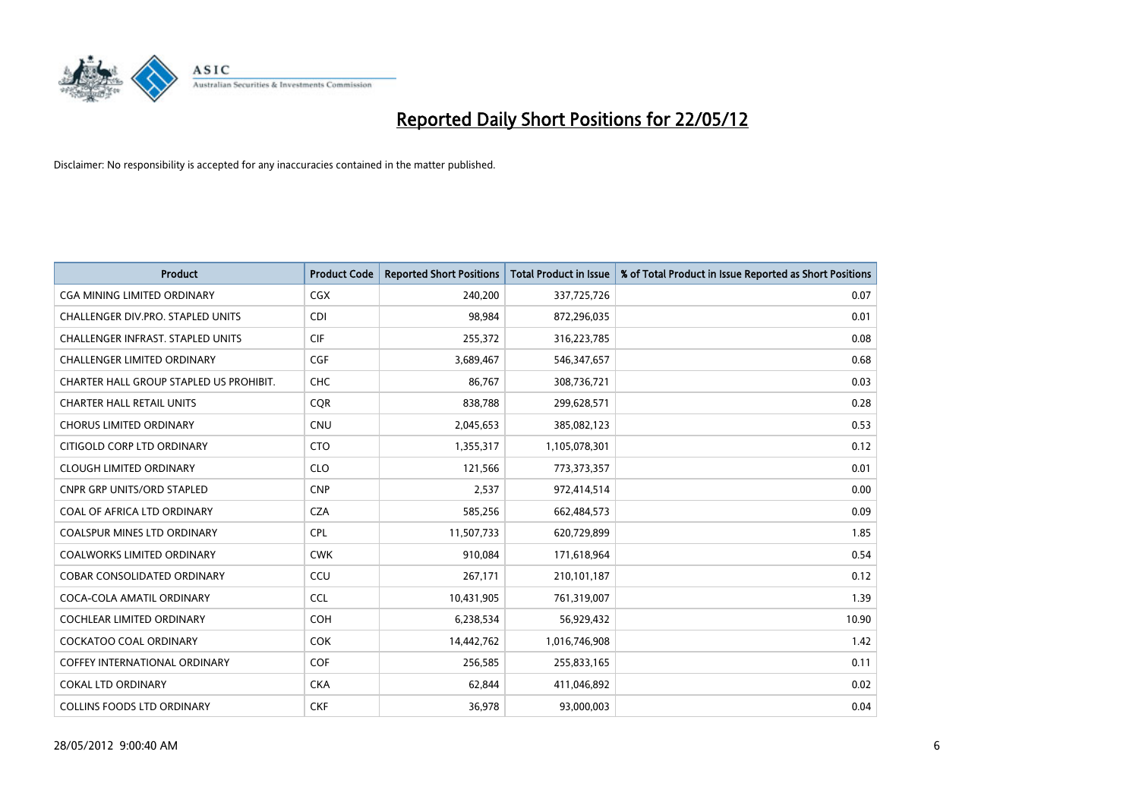

| <b>Product</b>                           | <b>Product Code</b> | <b>Reported Short Positions</b> | <b>Total Product in Issue</b> | % of Total Product in Issue Reported as Short Positions |
|------------------------------------------|---------------------|---------------------------------|-------------------------------|---------------------------------------------------------|
| <b>CGA MINING LIMITED ORDINARY</b>       | <b>CGX</b>          | 240,200                         | 337,725,726                   | 0.07                                                    |
| CHALLENGER DIV.PRO. STAPLED UNITS        | <b>CDI</b>          | 98,984                          | 872,296,035                   | 0.01                                                    |
| <b>CHALLENGER INFRAST, STAPLED UNITS</b> | <b>CIF</b>          | 255,372                         | 316,223,785                   | 0.08                                                    |
| <b>CHALLENGER LIMITED ORDINARY</b>       | <b>CGF</b>          | 3,689,467                       | 546,347,657                   | 0.68                                                    |
| CHARTER HALL GROUP STAPLED US PROHIBIT.  | <b>CHC</b>          | 86,767                          | 308,736,721                   | 0.03                                                    |
| <b>CHARTER HALL RETAIL UNITS</b>         | CQR                 | 838,788                         | 299,628,571                   | 0.28                                                    |
| <b>CHORUS LIMITED ORDINARY</b>           | <b>CNU</b>          | 2,045,653                       | 385,082,123                   | 0.53                                                    |
| CITIGOLD CORP LTD ORDINARY               | <b>CTO</b>          | 1,355,317                       | 1,105,078,301                 | 0.12                                                    |
| <b>CLOUGH LIMITED ORDINARY</b>           | <b>CLO</b>          | 121,566                         | 773,373,357                   | 0.01                                                    |
| <b>CNPR GRP UNITS/ORD STAPLED</b>        | <b>CNP</b>          | 2,537                           | 972,414,514                   | 0.00                                                    |
| COAL OF AFRICA LTD ORDINARY              | <b>CZA</b>          | 585,256                         | 662,484,573                   | 0.09                                                    |
| <b>COALSPUR MINES LTD ORDINARY</b>       | <b>CPL</b>          | 11,507,733                      | 620,729,899                   | 1.85                                                    |
| COALWORKS LIMITED ORDINARY               | <b>CWK</b>          | 910,084                         | 171,618,964                   | 0.54                                                    |
| <b>COBAR CONSOLIDATED ORDINARY</b>       | CCU                 | 267,171                         | 210,101,187                   | 0.12                                                    |
| COCA-COLA AMATIL ORDINARY                | <b>CCL</b>          | 10,431,905                      | 761,319,007                   | 1.39                                                    |
| COCHLEAR LIMITED ORDINARY                | <b>COH</b>          | 6,238,534                       | 56,929,432                    | 10.90                                                   |
| <b>COCKATOO COAL ORDINARY</b>            | <b>COK</b>          | 14,442,762                      | 1,016,746,908                 | 1.42                                                    |
| <b>COFFEY INTERNATIONAL ORDINARY</b>     | <b>COF</b>          | 256,585                         | 255,833,165                   | 0.11                                                    |
| COKAL LTD ORDINARY                       | <b>CKA</b>          | 62,844                          | 411,046,892                   | 0.02                                                    |
| <b>COLLINS FOODS LTD ORDINARY</b>        | <b>CKF</b>          | 36,978                          | 93,000,003                    | 0.04                                                    |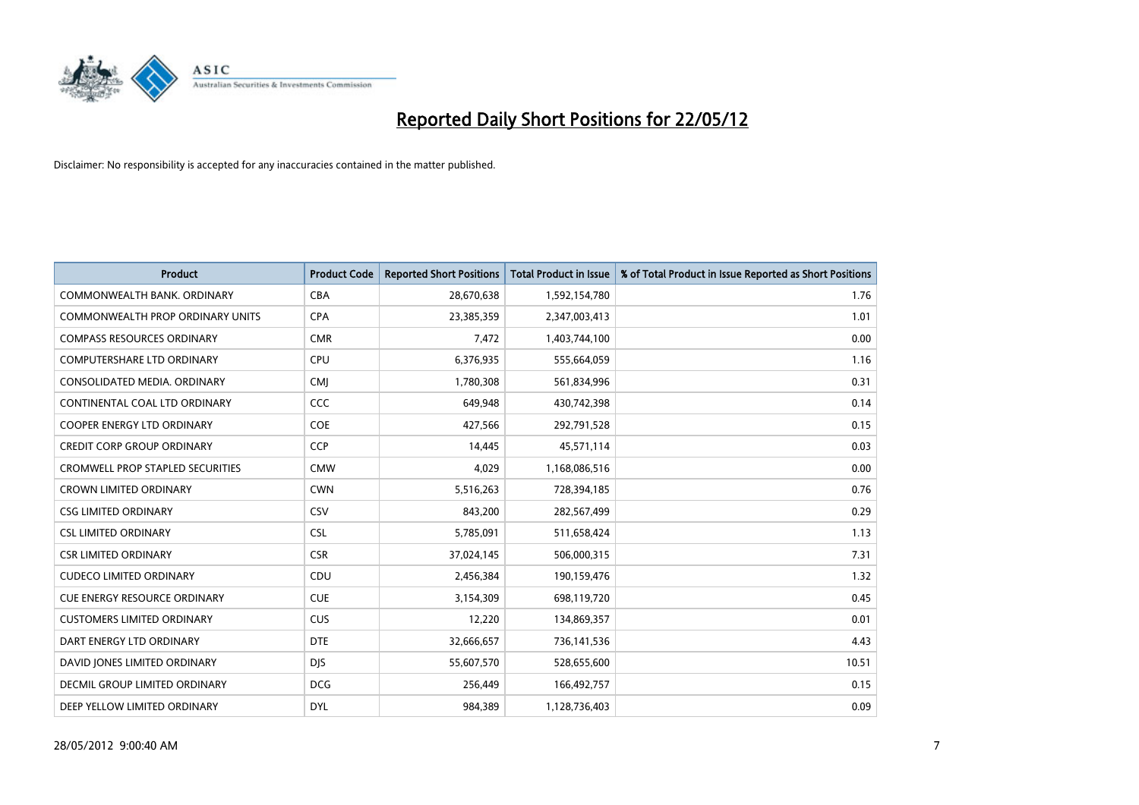

| <b>Product</b>                       | <b>Product Code</b> | <b>Reported Short Positions</b> | <b>Total Product in Issue</b> | % of Total Product in Issue Reported as Short Positions |
|--------------------------------------|---------------------|---------------------------------|-------------------------------|---------------------------------------------------------|
| COMMONWEALTH BANK, ORDINARY          | <b>CBA</b>          | 28,670,638                      | 1,592,154,780                 | 1.76                                                    |
| COMMONWEALTH PROP ORDINARY UNITS     | <b>CPA</b>          | 23,385,359                      | 2,347,003,413                 | 1.01                                                    |
| <b>COMPASS RESOURCES ORDINARY</b>    | <b>CMR</b>          | 7,472                           | 1,403,744,100                 | 0.00                                                    |
| <b>COMPUTERSHARE LTD ORDINARY</b>    | <b>CPU</b>          | 6,376,935                       | 555,664,059                   | 1.16                                                    |
| CONSOLIDATED MEDIA, ORDINARY         | <b>CMI</b>          | 1,780,308                       | 561,834,996                   | 0.31                                                    |
| CONTINENTAL COAL LTD ORDINARY        | CCC                 | 649,948                         | 430,742,398                   | 0.14                                                    |
| <b>COOPER ENERGY LTD ORDINARY</b>    | <b>COE</b>          | 427,566                         | 292,791,528                   | 0.15                                                    |
| <b>CREDIT CORP GROUP ORDINARY</b>    | <b>CCP</b>          | 14,445                          | 45,571,114                    | 0.03                                                    |
| CROMWELL PROP STAPLED SECURITIES     | <b>CMW</b>          | 4,029                           | 1,168,086,516                 | 0.00                                                    |
| <b>CROWN LIMITED ORDINARY</b>        | <b>CWN</b>          | 5,516,263                       | 728,394,185                   | 0.76                                                    |
| <b>CSG LIMITED ORDINARY</b>          | CSV                 | 843,200                         | 282,567,499                   | 0.29                                                    |
| <b>CSL LIMITED ORDINARY</b>          | <b>CSL</b>          | 5,785,091                       | 511,658,424                   | 1.13                                                    |
| <b>CSR LIMITED ORDINARY</b>          | <b>CSR</b>          | 37,024,145                      | 506,000,315                   | 7.31                                                    |
| <b>CUDECO LIMITED ORDINARY</b>       | CDU                 | 2,456,384                       | 190,159,476                   | 1.32                                                    |
| <b>CUE ENERGY RESOURCE ORDINARY</b>  | <b>CUE</b>          | 3,154,309                       | 698,119,720                   | 0.45                                                    |
| <b>CUSTOMERS LIMITED ORDINARY</b>    | <b>CUS</b>          | 12,220                          | 134,869,357                   | 0.01                                                    |
| DART ENERGY LTD ORDINARY             | <b>DTE</b>          | 32,666,657                      | 736,141,536                   | 4.43                                                    |
| DAVID JONES LIMITED ORDINARY         | <b>DJS</b>          | 55,607,570                      | 528,655,600                   | 10.51                                                   |
| <b>DECMIL GROUP LIMITED ORDINARY</b> | <b>DCG</b>          | 256,449                         | 166,492,757                   | 0.15                                                    |
| DEEP YELLOW LIMITED ORDINARY         | <b>DYL</b>          | 984,389                         | 1,128,736,403                 | 0.09                                                    |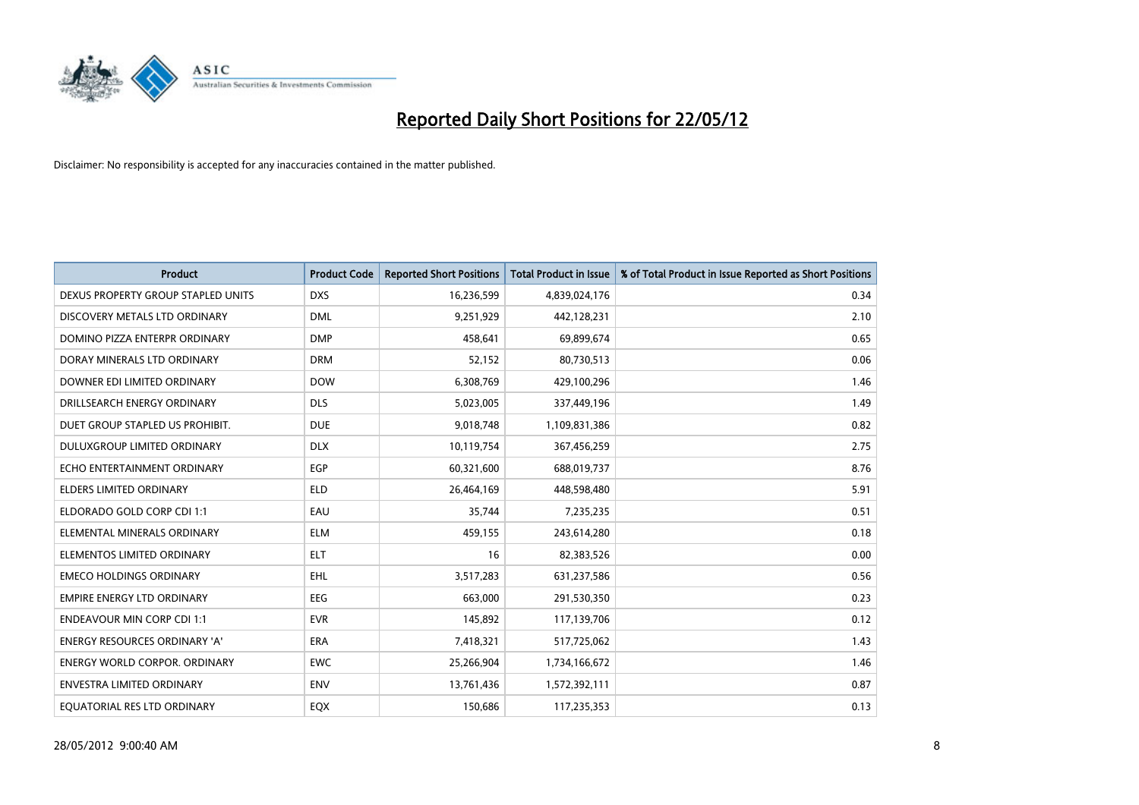

| <b>Product</b>                       | <b>Product Code</b> | <b>Reported Short Positions</b> | <b>Total Product in Issue</b> | % of Total Product in Issue Reported as Short Positions |
|--------------------------------------|---------------------|---------------------------------|-------------------------------|---------------------------------------------------------|
| DEXUS PROPERTY GROUP STAPLED UNITS   | <b>DXS</b>          | 16,236,599                      | 4,839,024,176                 | 0.34                                                    |
| DISCOVERY METALS LTD ORDINARY        | <b>DML</b>          | 9,251,929                       | 442,128,231                   | 2.10                                                    |
| DOMINO PIZZA ENTERPR ORDINARY        | <b>DMP</b>          | 458,641                         | 69,899,674                    | 0.65                                                    |
| DORAY MINERALS LTD ORDINARY          | <b>DRM</b>          | 52,152                          | 80,730,513                    | 0.06                                                    |
| DOWNER EDI LIMITED ORDINARY          | <b>DOW</b>          | 6,308,769                       | 429,100,296                   | 1.46                                                    |
| DRILLSEARCH ENERGY ORDINARY          | <b>DLS</b>          | 5,023,005                       | 337,449,196                   | 1.49                                                    |
| DUET GROUP STAPLED US PROHIBIT.      | <b>DUE</b>          | 9,018,748                       | 1,109,831,386                 | 0.82                                                    |
| DULUXGROUP LIMITED ORDINARY          | <b>DLX</b>          | 10,119,754                      | 367,456,259                   | 2.75                                                    |
| ECHO ENTERTAINMENT ORDINARY          | <b>EGP</b>          | 60,321,600                      | 688,019,737                   | 8.76                                                    |
| <b>ELDERS LIMITED ORDINARY</b>       | <b>ELD</b>          | 26,464,169                      | 448,598,480                   | 5.91                                                    |
| ELDORADO GOLD CORP CDI 1:1           | EAU                 | 35,744                          | 7,235,235                     | 0.51                                                    |
| ELEMENTAL MINERALS ORDINARY          | <b>ELM</b>          | 459,155                         | 243,614,280                   | 0.18                                                    |
| ELEMENTOS LIMITED ORDINARY           | <b>ELT</b>          | 16                              | 82,383,526                    | 0.00                                                    |
| <b>EMECO HOLDINGS ORDINARY</b>       | <b>EHL</b>          | 3,517,283                       | 631,237,586                   | 0.56                                                    |
| <b>EMPIRE ENERGY LTD ORDINARY</b>    | <b>EEG</b>          | 663,000                         | 291,530,350                   | 0.23                                                    |
| <b>ENDEAVOUR MIN CORP CDI 1:1</b>    | <b>EVR</b>          | 145,892                         | 117,139,706                   | 0.12                                                    |
| <b>ENERGY RESOURCES ORDINARY 'A'</b> | <b>ERA</b>          | 7,418,321                       | 517,725,062                   | 1.43                                                    |
| <b>ENERGY WORLD CORPOR. ORDINARY</b> | <b>EWC</b>          | 25,266,904                      | 1,734,166,672                 | 1.46                                                    |
| <b>ENVESTRA LIMITED ORDINARY</b>     | <b>ENV</b>          | 13,761,436                      | 1,572,392,111                 | 0.87                                                    |
| EQUATORIAL RES LTD ORDINARY          | <b>EQX</b>          | 150,686                         | 117,235,353                   | 0.13                                                    |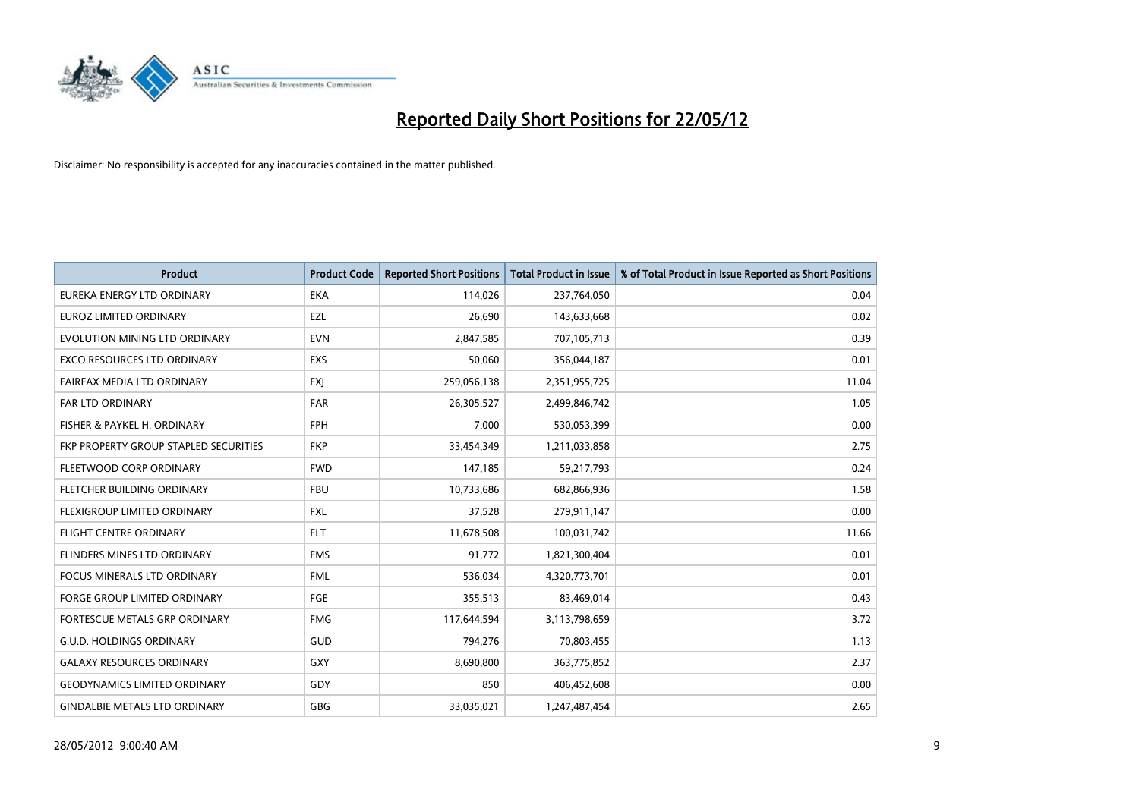

| <b>Product</b>                        | <b>Product Code</b> | <b>Reported Short Positions</b> | <b>Total Product in Issue</b> | % of Total Product in Issue Reported as Short Positions |
|---------------------------------------|---------------------|---------------------------------|-------------------------------|---------------------------------------------------------|
| EUREKA ENERGY LTD ORDINARY            | <b>EKA</b>          | 114,026                         | 237,764,050                   | 0.04                                                    |
| EUROZ LIMITED ORDINARY                | EZL                 | 26,690                          | 143,633,668                   | 0.02                                                    |
| EVOLUTION MINING LTD ORDINARY         | <b>EVN</b>          | 2,847,585                       | 707,105,713                   | 0.39                                                    |
| <b>EXCO RESOURCES LTD ORDINARY</b>    | <b>EXS</b>          | 50,060                          | 356,044,187                   | 0.01                                                    |
| FAIRFAX MEDIA LTD ORDINARY            | <b>FXI</b>          | 259,056,138                     | 2,351,955,725                 | 11.04                                                   |
| <b>FAR LTD ORDINARY</b>               | <b>FAR</b>          | 26,305,527                      | 2,499,846,742                 | 1.05                                                    |
| FISHER & PAYKEL H. ORDINARY           | <b>FPH</b>          | 7,000                           | 530,053,399                   | 0.00                                                    |
| FKP PROPERTY GROUP STAPLED SECURITIES | <b>FKP</b>          | 33,454,349                      | 1,211,033,858                 | 2.75                                                    |
| FLEETWOOD CORP ORDINARY               | <b>FWD</b>          | 147,185                         | 59,217,793                    | 0.24                                                    |
| FLETCHER BUILDING ORDINARY            | <b>FBU</b>          | 10,733,686                      | 682,866,936                   | 1.58                                                    |
| FLEXIGROUP LIMITED ORDINARY           | <b>FXL</b>          | 37,528                          | 279,911,147                   | 0.00                                                    |
| <b>FLIGHT CENTRE ORDINARY</b>         | <b>FLT</b>          | 11,678,508                      | 100,031,742                   | 11.66                                                   |
| FLINDERS MINES LTD ORDINARY           | <b>FMS</b>          | 91,772                          | 1,821,300,404                 | 0.01                                                    |
| <b>FOCUS MINERALS LTD ORDINARY</b>    | <b>FML</b>          | 536,034                         | 4,320,773,701                 | 0.01                                                    |
| <b>FORGE GROUP LIMITED ORDINARY</b>   | <b>FGE</b>          | 355,513                         | 83,469,014                    | 0.43                                                    |
| <b>FORTESCUE METALS GRP ORDINARY</b>  | <b>FMG</b>          | 117,644,594                     | 3,113,798,659                 | 3.72                                                    |
| <b>G.U.D. HOLDINGS ORDINARY</b>       | GUD                 | 794,276                         | 70,803,455                    | 1.13                                                    |
| <b>GALAXY RESOURCES ORDINARY</b>      | GXY                 | 8,690,800                       | 363,775,852                   | 2.37                                                    |
| <b>GEODYNAMICS LIMITED ORDINARY</b>   | GDY                 | 850                             | 406,452,608                   | 0.00                                                    |
| <b>GINDALBIE METALS LTD ORDINARY</b>  | <b>GBG</b>          | 33,035,021                      | 1,247,487,454                 | 2.65                                                    |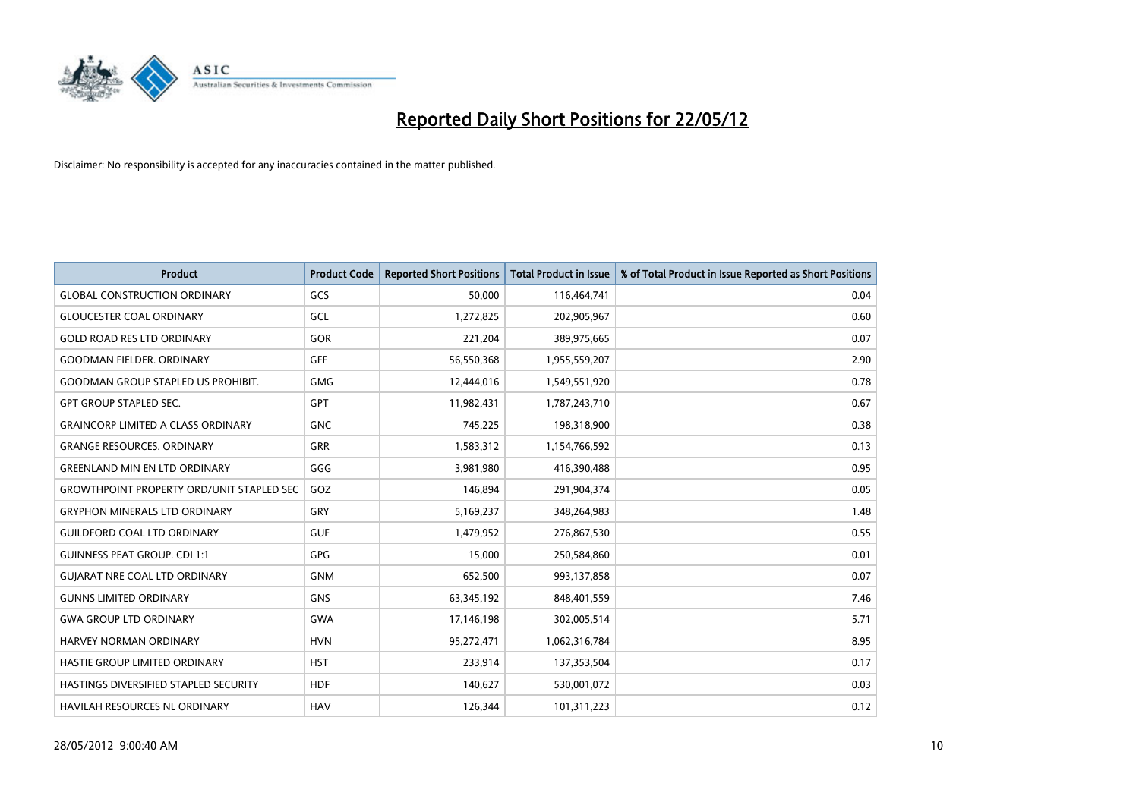

| <b>Product</b>                                   | <b>Product Code</b> | <b>Reported Short Positions</b> | <b>Total Product in Issue</b> | % of Total Product in Issue Reported as Short Positions |
|--------------------------------------------------|---------------------|---------------------------------|-------------------------------|---------------------------------------------------------|
| <b>GLOBAL CONSTRUCTION ORDINARY</b>              | GCS                 | 50,000                          | 116,464,741                   | 0.04                                                    |
| <b>GLOUCESTER COAL ORDINARY</b>                  | GCL                 | 1,272,825                       | 202,905,967                   | 0.60                                                    |
| <b>GOLD ROAD RES LTD ORDINARY</b>                | GOR                 | 221,204                         | 389,975,665                   | 0.07                                                    |
| <b>GOODMAN FIELDER. ORDINARY</b>                 | <b>GFF</b>          | 56,550,368                      | 1,955,559,207                 | 2.90                                                    |
| <b>GOODMAN GROUP STAPLED US PROHIBIT.</b>        | <b>GMG</b>          | 12,444,016                      | 1,549,551,920                 | 0.78                                                    |
| <b>GPT GROUP STAPLED SEC.</b>                    | GPT                 | 11,982,431                      | 1,787,243,710                 | 0.67                                                    |
| <b>GRAINCORP LIMITED A CLASS ORDINARY</b>        | <b>GNC</b>          | 745,225                         | 198,318,900                   | 0.38                                                    |
| <b>GRANGE RESOURCES. ORDINARY</b>                | <b>GRR</b>          | 1,583,312                       | 1,154,766,592                 | 0.13                                                    |
| <b>GREENLAND MIN EN LTD ORDINARY</b>             | GGG                 | 3,981,980                       | 416,390,488                   | 0.95                                                    |
| <b>GROWTHPOINT PROPERTY ORD/UNIT STAPLED SEC</b> | GOZ                 | 146,894                         | 291,904,374                   | 0.05                                                    |
| <b>GRYPHON MINERALS LTD ORDINARY</b>             | GRY                 | 5,169,237                       | 348,264,983                   | 1.48                                                    |
| <b>GUILDFORD COAL LTD ORDINARY</b>               | <b>GUF</b>          | 1,479,952                       | 276,867,530                   | 0.55                                                    |
| <b>GUINNESS PEAT GROUP. CDI 1:1</b>              | GPG                 | 15,000                          | 250,584,860                   | 0.01                                                    |
| <b>GUIARAT NRE COAL LTD ORDINARY</b>             | <b>GNM</b>          | 652,500                         | 993,137,858                   | 0.07                                                    |
| <b>GUNNS LIMITED ORDINARY</b>                    | <b>GNS</b>          | 63,345,192                      | 848,401,559                   | 7.46                                                    |
| <b>GWA GROUP LTD ORDINARY</b>                    | <b>GWA</b>          | 17,146,198                      | 302,005,514                   | 5.71                                                    |
| <b>HARVEY NORMAN ORDINARY</b>                    | <b>HVN</b>          | 95,272,471                      | 1,062,316,784                 | 8.95                                                    |
| HASTIE GROUP LIMITED ORDINARY                    | <b>HST</b>          | 233,914                         | 137,353,504                   | 0.17                                                    |
| HASTINGS DIVERSIFIED STAPLED SECURITY            | <b>HDF</b>          | 140,627                         | 530,001,072                   | 0.03                                                    |
| <b>HAVILAH RESOURCES NL ORDINARY</b>             | <b>HAV</b>          | 126,344                         | 101,311,223                   | 0.12                                                    |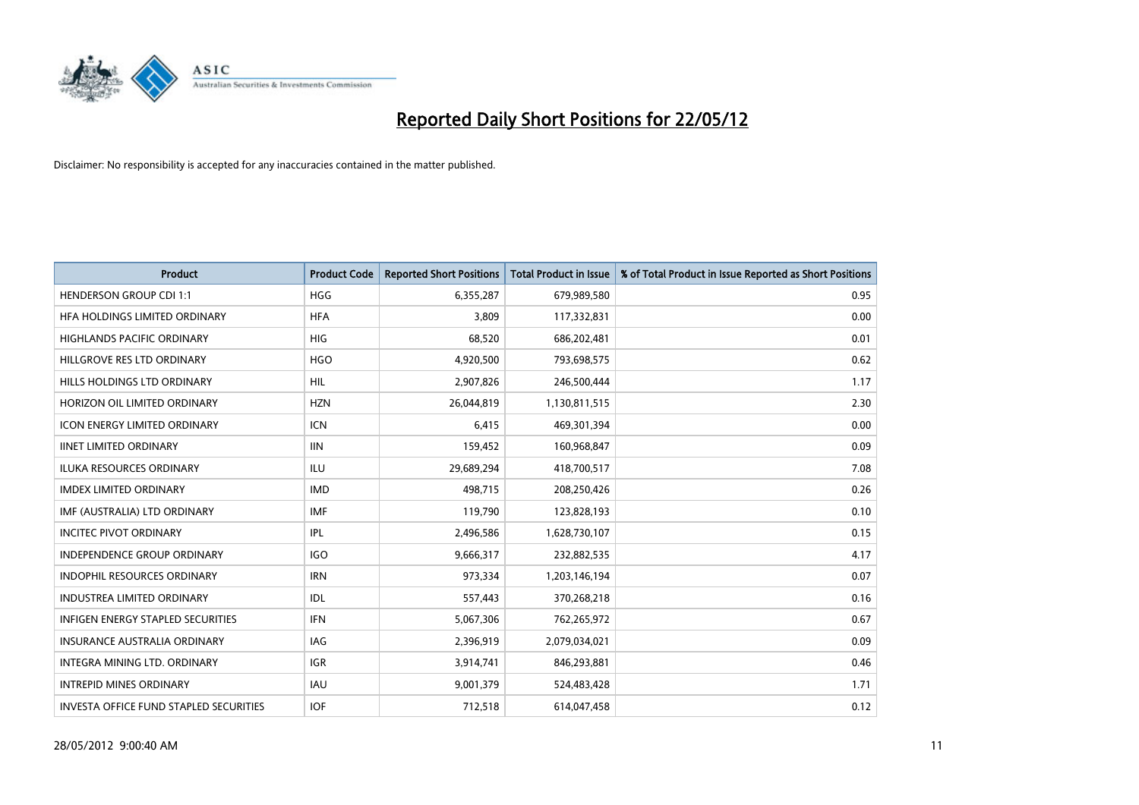

| <b>Product</b>                         | <b>Product Code</b> | <b>Reported Short Positions</b> | <b>Total Product in Issue</b> | % of Total Product in Issue Reported as Short Positions |
|----------------------------------------|---------------------|---------------------------------|-------------------------------|---------------------------------------------------------|
| <b>HENDERSON GROUP CDI 1:1</b>         | <b>HGG</b>          | 6,355,287                       | 679,989,580                   | 0.95                                                    |
| HFA HOLDINGS LIMITED ORDINARY          | <b>HFA</b>          | 3,809                           | 117,332,831                   | 0.00                                                    |
| <b>HIGHLANDS PACIFIC ORDINARY</b>      | <b>HIG</b>          | 68,520                          | 686,202,481                   | 0.01                                                    |
| HILLGROVE RES LTD ORDINARY             | <b>HGO</b>          | 4,920,500                       | 793,698,575                   | 0.62                                                    |
| HILLS HOLDINGS LTD ORDINARY            | HIL                 | 2,907,826                       | 246,500,444                   | 1.17                                                    |
| HORIZON OIL LIMITED ORDINARY           | <b>HZN</b>          | 26,044,819                      | 1,130,811,515                 | 2.30                                                    |
| <b>ICON ENERGY LIMITED ORDINARY</b>    | <b>ICN</b>          | 6,415                           | 469,301,394                   | 0.00                                                    |
| <b>IINET LIMITED ORDINARY</b>          | <b>IIN</b>          | 159,452                         | 160,968,847                   | 0.09                                                    |
| <b>ILUKA RESOURCES ORDINARY</b>        | <b>ILU</b>          | 29,689,294                      | 418,700,517                   | 7.08                                                    |
| <b>IMDEX LIMITED ORDINARY</b>          | <b>IMD</b>          | 498,715                         | 208,250,426                   | 0.26                                                    |
| IMF (AUSTRALIA) LTD ORDINARY           | <b>IMF</b>          | 119,790                         | 123,828,193                   | 0.10                                                    |
| <b>INCITEC PIVOT ORDINARY</b>          | IPL                 | 2,496,586                       | 1,628,730,107                 | 0.15                                                    |
| INDEPENDENCE GROUP ORDINARY            | <b>IGO</b>          | 9,666,317                       | 232,882,535                   | 4.17                                                    |
| <b>INDOPHIL RESOURCES ORDINARY</b>     | <b>IRN</b>          | 973,334                         | 1,203,146,194                 | 0.07                                                    |
| <b>INDUSTREA LIMITED ORDINARY</b>      | <b>IDL</b>          | 557,443                         | 370,268,218                   | 0.16                                                    |
| INFIGEN ENERGY STAPLED SECURITIES      | <b>IFN</b>          | 5,067,306                       | 762,265,972                   | 0.67                                                    |
| INSURANCE AUSTRALIA ORDINARY           | IAG                 | 2,396,919                       | 2,079,034,021                 | 0.09                                                    |
| INTEGRA MINING LTD. ORDINARY           | <b>IGR</b>          | 3,914,741                       | 846,293,881                   | 0.46                                                    |
| <b>INTREPID MINES ORDINARY</b>         | <b>IAU</b>          | 9,001,379                       | 524,483,428                   | 1.71                                                    |
| INVESTA OFFICE FUND STAPLED SECURITIES | <b>IOF</b>          | 712,518                         | 614,047,458                   | 0.12                                                    |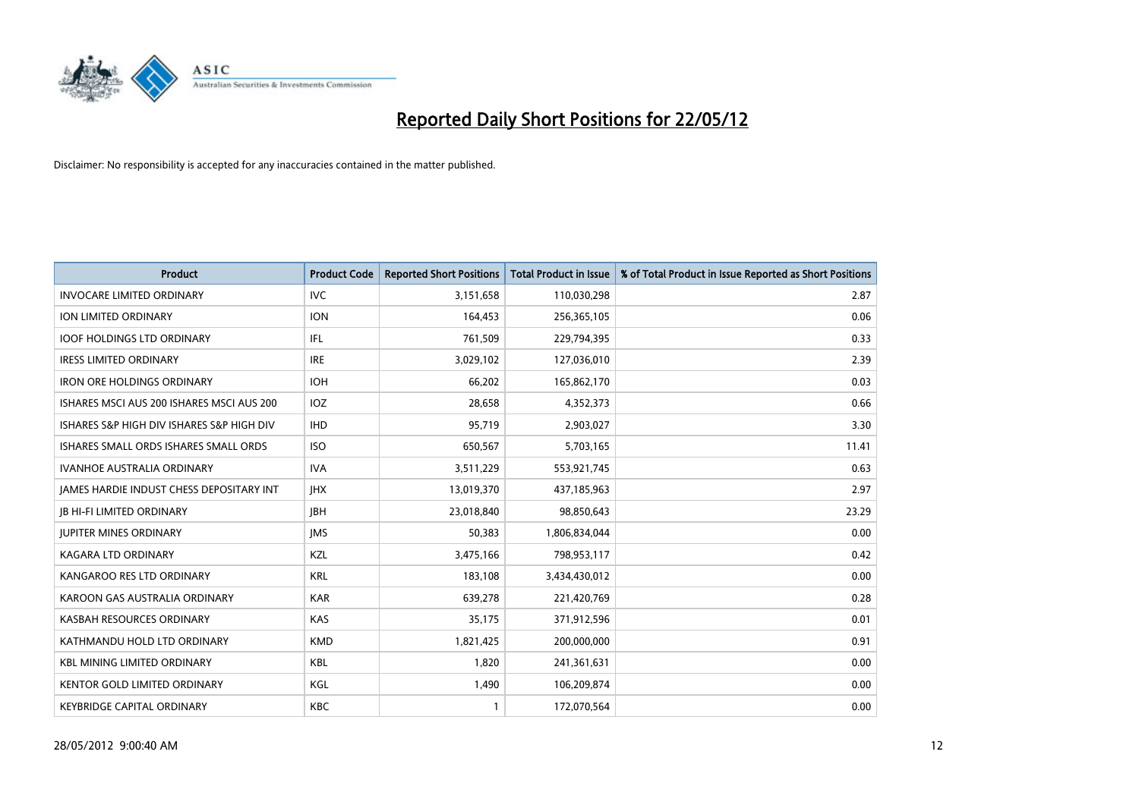

| <b>Product</b>                            | <b>Product Code</b> | <b>Reported Short Positions</b> | <b>Total Product in Issue</b> | % of Total Product in Issue Reported as Short Positions |
|-------------------------------------------|---------------------|---------------------------------|-------------------------------|---------------------------------------------------------|
| <b>INVOCARE LIMITED ORDINARY</b>          | <b>IVC</b>          | 3,151,658                       | 110,030,298                   | 2.87                                                    |
| <b>ION LIMITED ORDINARY</b>               | <b>ION</b>          | 164,453                         | 256,365,105                   | 0.06                                                    |
| <b>IOOF HOLDINGS LTD ORDINARY</b>         | IFL                 | 761,509                         | 229,794,395                   | 0.33                                                    |
| <b>IRESS LIMITED ORDINARY</b>             | <b>IRE</b>          | 3,029,102                       | 127,036,010                   | 2.39                                                    |
| <b>IRON ORE HOLDINGS ORDINARY</b>         | <b>IOH</b>          | 66,202                          | 165,862,170                   | 0.03                                                    |
| ISHARES MSCI AUS 200 ISHARES MSCI AUS 200 | IOZ                 | 28,658                          | 4,352,373                     | 0.66                                                    |
| ISHARES S&P HIGH DIV ISHARES S&P HIGH DIV | <b>IHD</b>          | 95,719                          | 2,903,027                     | 3.30                                                    |
| ISHARES SMALL ORDS ISHARES SMALL ORDS     | <b>ISO</b>          | 650,567                         | 5,703,165                     | 11.41                                                   |
| <b>IVANHOE AUSTRALIA ORDINARY</b>         | <b>IVA</b>          | 3,511,229                       | 553,921,745                   | 0.63                                                    |
| JAMES HARDIE INDUST CHESS DEPOSITARY INT  | <b>IHX</b>          | 13,019,370                      | 437,185,963                   | 2.97                                                    |
| <b>JB HI-FI LIMITED ORDINARY</b>          | <b>IBH</b>          | 23,018,840                      | 98,850,643                    | 23.29                                                   |
| <b>JUPITER MINES ORDINARY</b>             | <b>IMS</b>          | 50,383                          | 1,806,834,044                 | 0.00                                                    |
| <b>KAGARA LTD ORDINARY</b>                | KZL                 | 3,475,166                       | 798,953,117                   | 0.42                                                    |
| KANGAROO RES LTD ORDINARY                 | <b>KRL</b>          | 183,108                         | 3,434,430,012                 | 0.00                                                    |
| KAROON GAS AUSTRALIA ORDINARY             | <b>KAR</b>          | 639,278                         | 221,420,769                   | 0.28                                                    |
| KASBAH RESOURCES ORDINARY                 | <b>KAS</b>          | 35,175                          | 371,912,596                   | 0.01                                                    |
| KATHMANDU HOLD LTD ORDINARY               | <b>KMD</b>          | 1,821,425                       | 200,000,000                   | 0.91                                                    |
| <b>KBL MINING LIMITED ORDINARY</b>        | <b>KBL</b>          | 1,820                           | 241,361,631                   | 0.00                                                    |
| KENTOR GOLD LIMITED ORDINARY              | KGL                 | 1,490                           | 106,209,874                   | 0.00                                                    |
| KEYBRIDGE CAPITAL ORDINARY                | <b>KBC</b>          |                                 | 172,070,564                   | 0.00                                                    |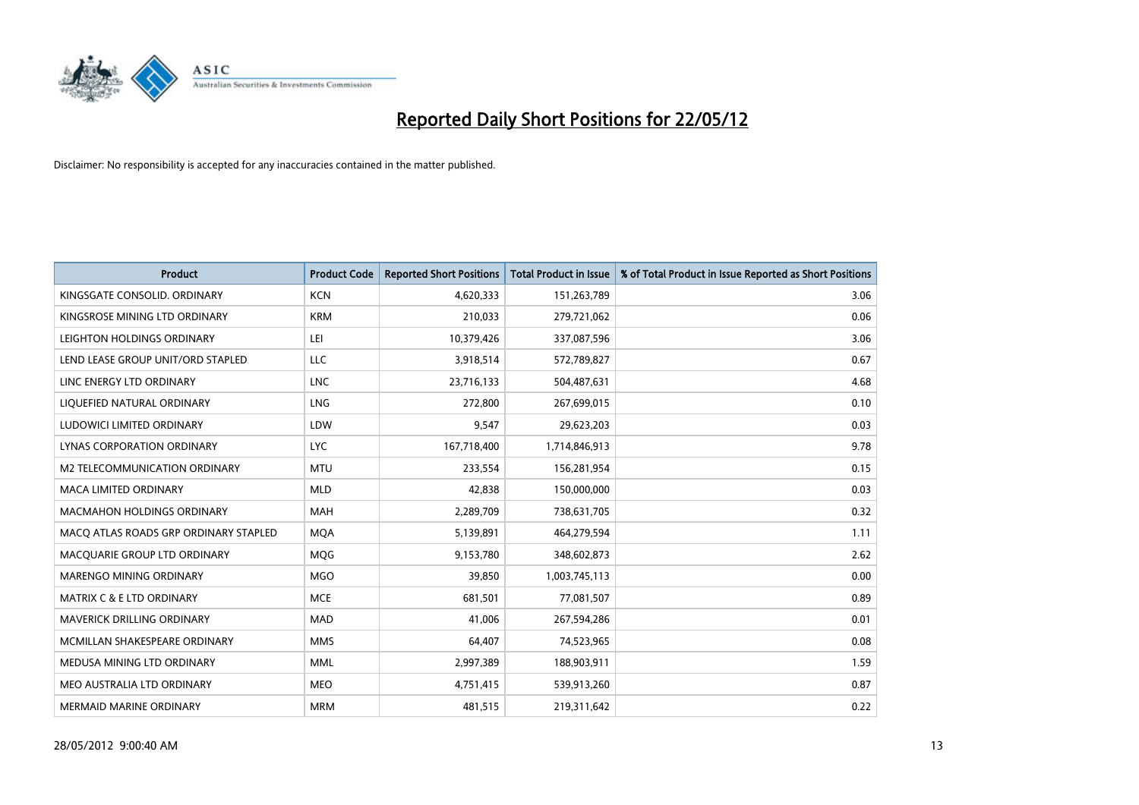

| <b>Product</b>                        | <b>Product Code</b> | <b>Reported Short Positions</b> | <b>Total Product in Issue</b> | % of Total Product in Issue Reported as Short Positions |
|---------------------------------------|---------------------|---------------------------------|-------------------------------|---------------------------------------------------------|
| KINGSGATE CONSOLID, ORDINARY          | <b>KCN</b>          | 4,620,333                       | 151,263,789                   | 3.06                                                    |
| KINGSROSE MINING LTD ORDINARY         | <b>KRM</b>          | 210,033                         | 279,721,062                   | 0.06                                                    |
| LEIGHTON HOLDINGS ORDINARY            | LEI                 | 10,379,426                      | 337,087,596                   | 3.06                                                    |
| LEND LEASE GROUP UNIT/ORD STAPLED     | LLC                 | 3,918,514                       | 572,789,827                   | 0.67                                                    |
| LINC ENERGY LTD ORDINARY              | <b>LNC</b>          | 23,716,133                      | 504,487,631                   | 4.68                                                    |
| LIQUEFIED NATURAL ORDINARY            | LNG                 | 272,800                         | 267,699,015                   | 0.10                                                    |
| LUDOWICI LIMITED ORDINARY             | LDW                 | 9,547                           | 29,623,203                    | 0.03                                                    |
| LYNAS CORPORATION ORDINARY            | <b>LYC</b>          | 167,718,400                     | 1,714,846,913                 | 9.78                                                    |
| <b>M2 TELECOMMUNICATION ORDINARY</b>  | <b>MTU</b>          | 233,554                         | 156,281,954                   | 0.15                                                    |
| <b>MACA LIMITED ORDINARY</b>          | <b>MLD</b>          | 42,838                          | 150,000,000                   | 0.03                                                    |
| <b>MACMAHON HOLDINGS ORDINARY</b>     | <b>MAH</b>          | 2,289,709                       | 738,631,705                   | 0.32                                                    |
| MACQ ATLAS ROADS GRP ORDINARY STAPLED | <b>MQA</b>          | 5,139,891                       | 464,279,594                   | 1.11                                                    |
| MACQUARIE GROUP LTD ORDINARY          | MQG                 | 9,153,780                       | 348,602,873                   | 2.62                                                    |
| MARENGO MINING ORDINARY               | <b>MGO</b>          | 39,850                          | 1,003,745,113                 | 0.00                                                    |
| <b>MATRIX C &amp; E LTD ORDINARY</b>  | <b>MCE</b>          | 681,501                         | 77,081,507                    | 0.89                                                    |
| <b>MAVERICK DRILLING ORDINARY</b>     | <b>MAD</b>          | 41,006                          | 267,594,286                   | 0.01                                                    |
| MCMILLAN SHAKESPEARE ORDINARY         | <b>MMS</b>          | 64,407                          | 74,523,965                    | 0.08                                                    |
| MEDUSA MINING LTD ORDINARY            | <b>MML</b>          | 2,997,389                       | 188,903,911                   | 1.59                                                    |
| MEO AUSTRALIA LTD ORDINARY            | <b>MEO</b>          | 4,751,415                       | 539,913,260                   | 0.87                                                    |
| MERMAID MARINE ORDINARY               | <b>MRM</b>          | 481,515                         | 219,311,642                   | 0.22                                                    |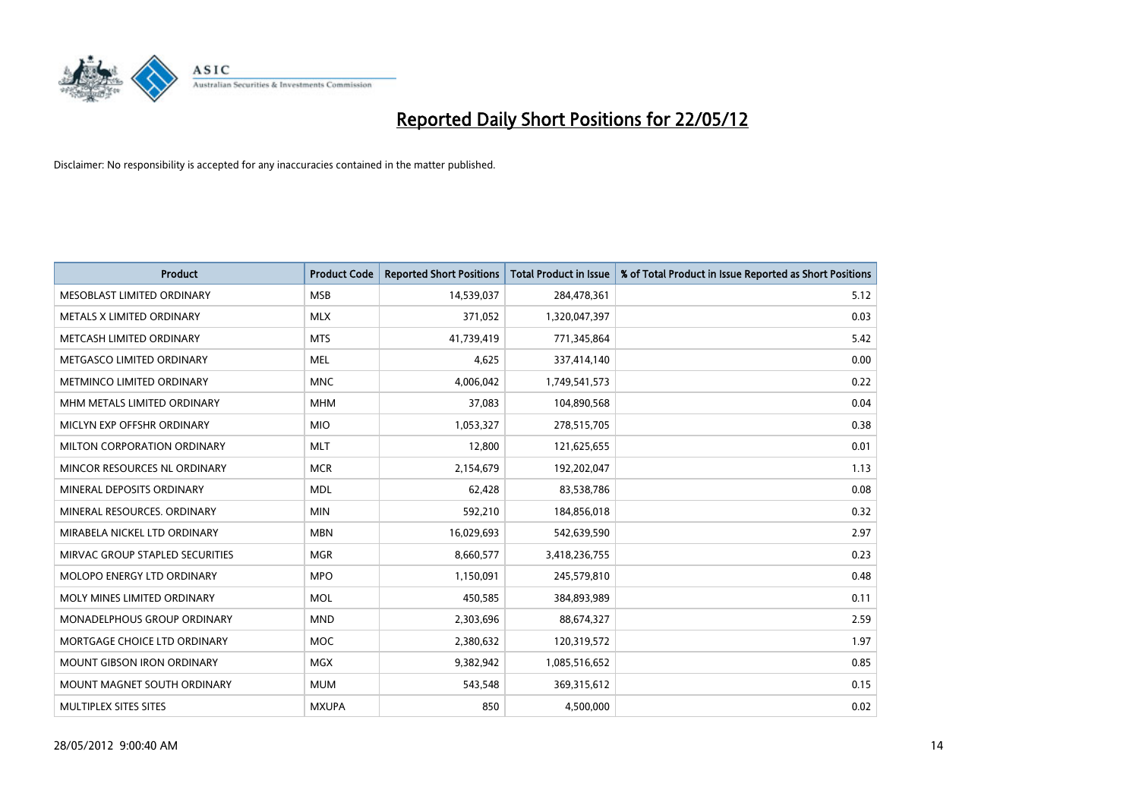

| <b>Product</b>                  | <b>Product Code</b> | <b>Reported Short Positions</b> | <b>Total Product in Issue</b> | % of Total Product in Issue Reported as Short Positions |
|---------------------------------|---------------------|---------------------------------|-------------------------------|---------------------------------------------------------|
| MESOBLAST LIMITED ORDINARY      | <b>MSB</b>          | 14,539,037                      | 284,478,361                   | 5.12                                                    |
| METALS X LIMITED ORDINARY       | <b>MLX</b>          | 371,052                         | 1,320,047,397                 | 0.03                                                    |
| METCASH LIMITED ORDINARY        | <b>MTS</b>          | 41,739,419                      | 771,345,864                   | 5.42                                                    |
| METGASCO LIMITED ORDINARY       | <b>MEL</b>          | 4,625                           | 337,414,140                   | 0.00                                                    |
| METMINCO LIMITED ORDINARY       | <b>MNC</b>          | 4,006,042                       | 1,749,541,573                 | 0.22                                                    |
| MHM METALS LIMITED ORDINARY     | <b>MHM</b>          | 37,083                          | 104,890,568                   | 0.04                                                    |
| MICLYN EXP OFFSHR ORDINARY      | <b>MIO</b>          | 1,053,327                       | 278,515,705                   | 0.38                                                    |
| MILTON CORPORATION ORDINARY     | <b>MLT</b>          | 12,800                          | 121,625,655                   | 0.01                                                    |
| MINCOR RESOURCES NL ORDINARY    | <b>MCR</b>          | 2,154,679                       | 192,202,047                   | 1.13                                                    |
| MINERAL DEPOSITS ORDINARY       | <b>MDL</b>          | 62,428                          | 83,538,786                    | 0.08                                                    |
| MINERAL RESOURCES, ORDINARY     | <b>MIN</b>          | 592,210                         | 184,856,018                   | 0.32                                                    |
| MIRABELA NICKEL LTD ORDINARY    | <b>MBN</b>          | 16,029,693                      | 542,639,590                   | 2.97                                                    |
| MIRVAC GROUP STAPLED SECURITIES | <b>MGR</b>          | 8,660,577                       | 3,418,236,755                 | 0.23                                                    |
| MOLOPO ENERGY LTD ORDINARY      | <b>MPO</b>          | 1,150,091                       | 245,579,810                   | 0.48                                                    |
| MOLY MINES LIMITED ORDINARY     | <b>MOL</b>          | 450,585                         | 384,893,989                   | 0.11                                                    |
| MONADELPHOUS GROUP ORDINARY     | <b>MND</b>          | 2,303,696                       | 88,674,327                    | 2.59                                                    |
| MORTGAGE CHOICE LTD ORDINARY    | <b>MOC</b>          | 2,380,632                       | 120,319,572                   | 1.97                                                    |
| MOUNT GIBSON IRON ORDINARY      | <b>MGX</b>          | 9,382,942                       | 1,085,516,652                 | 0.85                                                    |
| MOUNT MAGNET SOUTH ORDINARY     | <b>MUM</b>          | 543,548                         | 369,315,612                   | 0.15                                                    |
| MULTIPLEX SITES SITES           | <b>MXUPA</b>        | 850                             | 4,500,000                     | 0.02                                                    |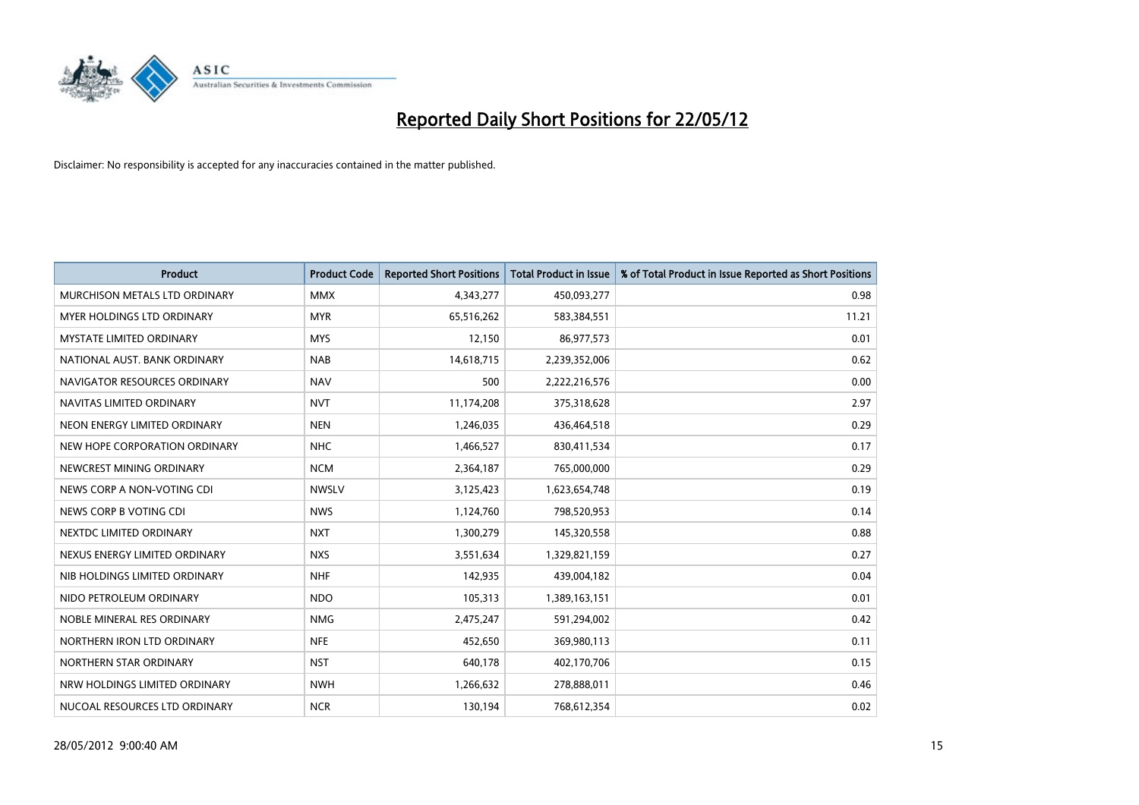

| <b>Product</b>                  | <b>Product Code</b> | <b>Reported Short Positions</b> | <b>Total Product in Issue</b> | % of Total Product in Issue Reported as Short Positions |
|---------------------------------|---------------------|---------------------------------|-------------------------------|---------------------------------------------------------|
| MURCHISON METALS LTD ORDINARY   | <b>MMX</b>          | 4,343,277                       | 450,093,277                   | 0.98                                                    |
| MYER HOLDINGS LTD ORDINARY      | <b>MYR</b>          | 65,516,262                      | 583,384,551                   | 11.21                                                   |
| <b>MYSTATE LIMITED ORDINARY</b> | <b>MYS</b>          | 12,150                          | 86,977,573                    | 0.01                                                    |
| NATIONAL AUST, BANK ORDINARY    | <b>NAB</b>          | 14,618,715                      | 2,239,352,006                 | 0.62                                                    |
| NAVIGATOR RESOURCES ORDINARY    | <b>NAV</b>          | 500                             | 2,222,216,576                 | 0.00                                                    |
| NAVITAS LIMITED ORDINARY        | <b>NVT</b>          | 11,174,208                      | 375,318,628                   | 2.97                                                    |
| NEON ENERGY LIMITED ORDINARY    | <b>NEN</b>          | 1,246,035                       | 436,464,518                   | 0.29                                                    |
| NEW HOPE CORPORATION ORDINARY   | <b>NHC</b>          | 1,466,527                       | 830,411,534                   | 0.17                                                    |
| NEWCREST MINING ORDINARY        | <b>NCM</b>          | 2,364,187                       | 765,000,000                   | 0.29                                                    |
| NEWS CORP A NON-VOTING CDI      | <b>NWSLV</b>        | 3,125,423                       | 1,623,654,748                 | 0.19                                                    |
| NEWS CORP B VOTING CDI          | <b>NWS</b>          | 1,124,760                       | 798,520,953                   | 0.14                                                    |
| NEXTDC LIMITED ORDINARY         | <b>NXT</b>          | 1,300,279                       | 145,320,558                   | 0.88                                                    |
| NEXUS ENERGY LIMITED ORDINARY   | <b>NXS</b>          | 3,551,634                       | 1,329,821,159                 | 0.27                                                    |
| NIB HOLDINGS LIMITED ORDINARY   | <b>NHF</b>          | 142,935                         | 439,004,182                   | 0.04                                                    |
| NIDO PETROLEUM ORDINARY         | <b>NDO</b>          | 105,313                         | 1,389,163,151                 | 0.01                                                    |
| NOBLE MINERAL RES ORDINARY      | <b>NMG</b>          | 2,475,247                       | 591,294,002                   | 0.42                                                    |
| NORTHERN IRON LTD ORDINARY      | <b>NFE</b>          | 452,650                         | 369,980,113                   | 0.11                                                    |
| NORTHERN STAR ORDINARY          | <b>NST</b>          | 640,178                         | 402,170,706                   | 0.15                                                    |
| NRW HOLDINGS LIMITED ORDINARY   | <b>NWH</b>          | 1,266,632                       | 278,888,011                   | 0.46                                                    |
| NUCOAL RESOURCES LTD ORDINARY   | <b>NCR</b>          | 130,194                         | 768,612,354                   | 0.02                                                    |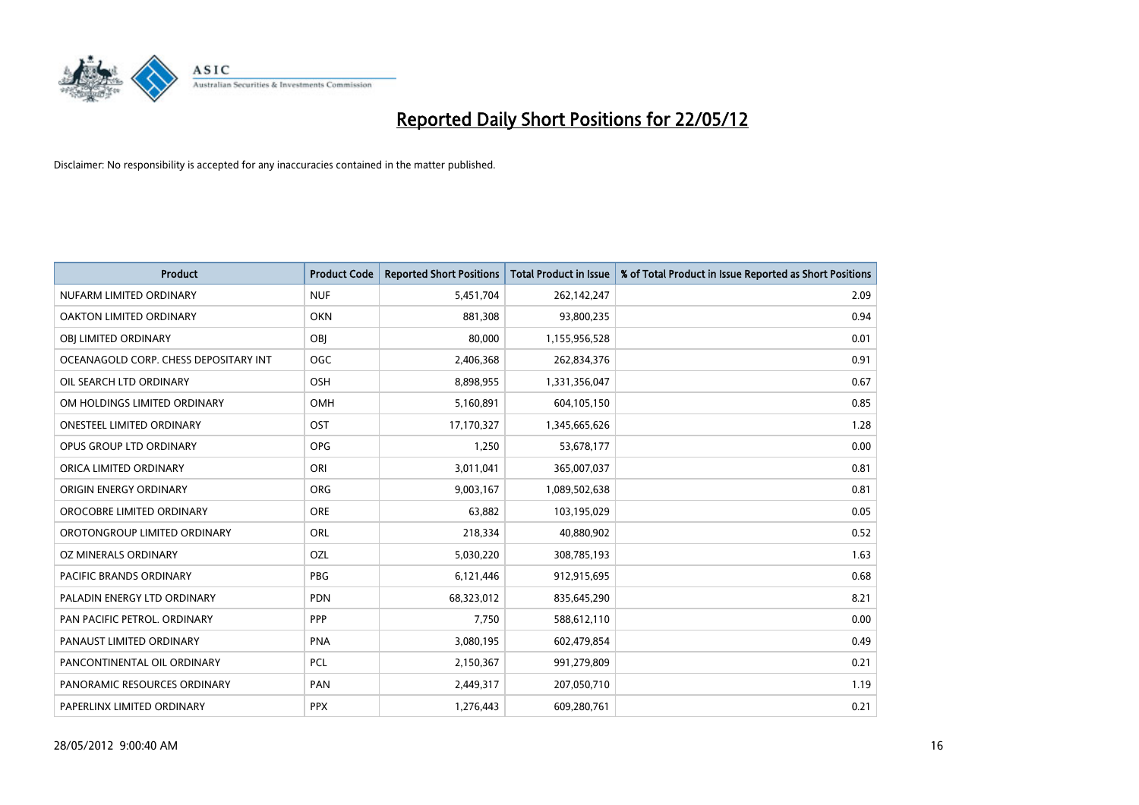

| <b>Product</b>                        | <b>Product Code</b> | <b>Reported Short Positions</b> | <b>Total Product in Issue</b> | % of Total Product in Issue Reported as Short Positions |
|---------------------------------------|---------------------|---------------------------------|-------------------------------|---------------------------------------------------------|
| NUFARM LIMITED ORDINARY               | <b>NUF</b>          | 5,451,704                       | 262,142,247                   | 2.09                                                    |
| OAKTON LIMITED ORDINARY               | <b>OKN</b>          | 881,308                         | 93,800,235                    | 0.94                                                    |
| OBI LIMITED ORDINARY                  | OBI                 | 80,000                          | 1,155,956,528                 | 0.01                                                    |
| OCEANAGOLD CORP. CHESS DEPOSITARY INT | <b>OGC</b>          | 2,406,368                       | 262,834,376                   | 0.91                                                    |
| OIL SEARCH LTD ORDINARY               | OSH                 | 8,898,955                       | 1,331,356,047                 | 0.67                                                    |
| OM HOLDINGS LIMITED ORDINARY          | OMH                 | 5,160,891                       | 604,105,150                   | 0.85                                                    |
| ONESTEEL LIMITED ORDINARY             | OST                 | 17,170,327                      | 1,345,665,626                 | 1.28                                                    |
| OPUS GROUP LTD ORDINARY               | <b>OPG</b>          | 1,250                           | 53,678,177                    | 0.00                                                    |
| ORICA LIMITED ORDINARY                | ORI                 | 3,011,041                       | 365,007,037                   | 0.81                                                    |
| ORIGIN ENERGY ORDINARY                | <b>ORG</b>          | 9,003,167                       | 1,089,502,638                 | 0.81                                                    |
| OROCOBRE LIMITED ORDINARY             | <b>ORE</b>          | 63,882                          | 103,195,029                   | 0.05                                                    |
| OROTONGROUP LIMITED ORDINARY          | ORL                 | 218,334                         | 40,880,902                    | 0.52                                                    |
| OZ MINERALS ORDINARY                  | OZL                 | 5,030,220                       | 308,785,193                   | 1.63                                                    |
| <b>PACIFIC BRANDS ORDINARY</b>        | <b>PBG</b>          | 6,121,446                       | 912,915,695                   | 0.68                                                    |
| PALADIN ENERGY LTD ORDINARY           | <b>PDN</b>          | 68,323,012                      | 835,645,290                   | 8.21                                                    |
| PAN PACIFIC PETROL. ORDINARY          | <b>PPP</b>          | 7,750                           | 588,612,110                   | 0.00                                                    |
| PANAUST LIMITED ORDINARY              | <b>PNA</b>          | 3,080,195                       | 602,479,854                   | 0.49                                                    |
| PANCONTINENTAL OIL ORDINARY           | <b>PCL</b>          | 2,150,367                       | 991,279,809                   | 0.21                                                    |
| PANORAMIC RESOURCES ORDINARY          | PAN                 | 2,449,317                       | 207,050,710                   | 1.19                                                    |
| PAPERLINX LIMITED ORDINARY            | <b>PPX</b>          | 1,276,443                       | 609,280,761                   | 0.21                                                    |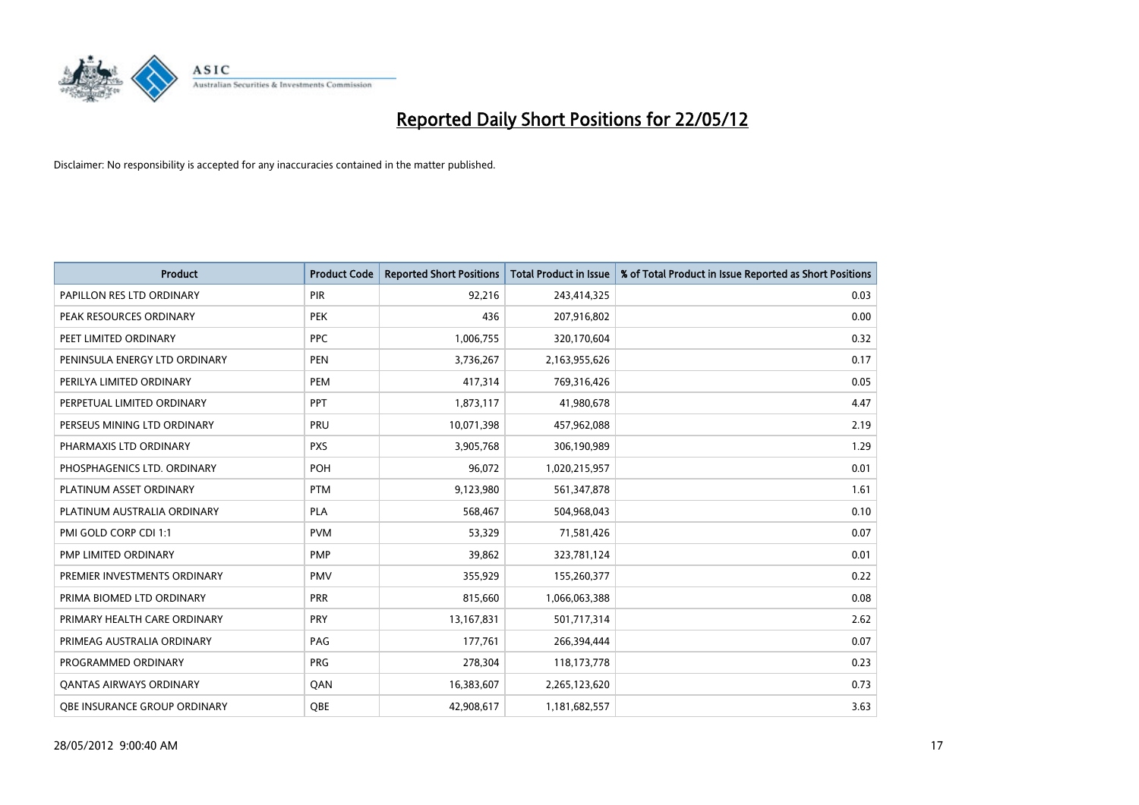

| <b>Product</b>                 | <b>Product Code</b> | <b>Reported Short Positions</b> | <b>Total Product in Issue</b> | % of Total Product in Issue Reported as Short Positions |
|--------------------------------|---------------------|---------------------------------|-------------------------------|---------------------------------------------------------|
| PAPILLON RES LTD ORDINARY      | PIR                 | 92,216                          | 243,414,325                   | 0.03                                                    |
| PEAK RESOURCES ORDINARY        | <b>PEK</b>          | 436                             | 207,916,802                   | 0.00                                                    |
| PEET LIMITED ORDINARY          | <b>PPC</b>          | 1,006,755                       | 320,170,604                   | 0.32                                                    |
| PENINSULA ENERGY LTD ORDINARY  | <b>PEN</b>          | 3,736,267                       | 2,163,955,626                 | 0.17                                                    |
| PERILYA LIMITED ORDINARY       | PEM                 | 417,314                         | 769,316,426                   | 0.05                                                    |
| PERPETUAL LIMITED ORDINARY     | PPT                 | 1,873,117                       | 41,980,678                    | 4.47                                                    |
| PERSEUS MINING LTD ORDINARY    | <b>PRU</b>          | 10,071,398                      | 457,962,088                   | 2.19                                                    |
| PHARMAXIS LTD ORDINARY         | <b>PXS</b>          | 3,905,768                       | 306,190,989                   | 1.29                                                    |
| PHOSPHAGENICS LTD. ORDINARY    | POH                 | 96,072                          | 1,020,215,957                 | 0.01                                                    |
| PLATINUM ASSET ORDINARY        | <b>PTM</b>          | 9,123,980                       | 561,347,878                   | 1.61                                                    |
| PLATINUM AUSTRALIA ORDINARY    | <b>PLA</b>          | 568,467                         | 504,968,043                   | 0.10                                                    |
| PMI GOLD CORP CDI 1:1          | <b>PVM</b>          | 53,329                          | 71,581,426                    | 0.07                                                    |
| PMP LIMITED ORDINARY           | <b>PMP</b>          | 39,862                          | 323,781,124                   | 0.01                                                    |
| PREMIER INVESTMENTS ORDINARY   | <b>PMV</b>          | 355,929                         | 155,260,377                   | 0.22                                                    |
| PRIMA BIOMED LTD ORDINARY      | <b>PRR</b>          | 815,660                         | 1,066,063,388                 | 0.08                                                    |
| PRIMARY HEALTH CARE ORDINARY   | <b>PRY</b>          | 13,167,831                      | 501,717,314                   | 2.62                                                    |
| PRIMEAG AUSTRALIA ORDINARY     | PAG                 | 177,761                         | 266,394,444                   | 0.07                                                    |
| PROGRAMMED ORDINARY            | <b>PRG</b>          | 278,304                         | 118,173,778                   | 0.23                                                    |
| <b>QANTAS AIRWAYS ORDINARY</b> | QAN                 | 16,383,607                      | 2,265,123,620                 | 0.73                                                    |
| OBE INSURANCE GROUP ORDINARY   | OBE                 | 42,908,617                      | 1,181,682,557                 | 3.63                                                    |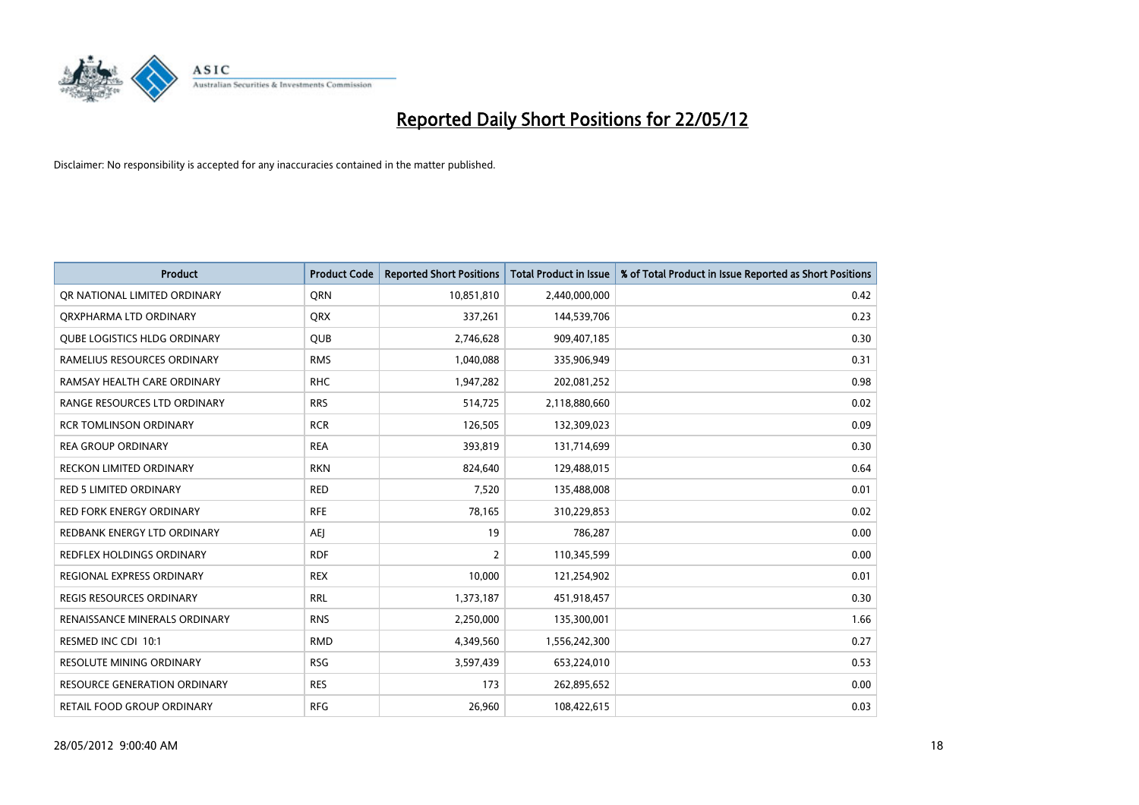

| <b>Product</b>                      | <b>Product Code</b> | <b>Reported Short Positions</b> | <b>Total Product in Issue</b> | % of Total Product in Issue Reported as Short Positions |
|-------------------------------------|---------------------|---------------------------------|-------------------------------|---------------------------------------------------------|
| OR NATIONAL LIMITED ORDINARY        | <b>ORN</b>          | 10,851,810                      | 2,440,000,000                 | 0.42                                                    |
| ORXPHARMA LTD ORDINARY              | <b>QRX</b>          | 337,261                         | 144,539,706                   | 0.23                                                    |
| <b>QUBE LOGISTICS HLDG ORDINARY</b> | QUB                 | 2,746,628                       | 909,407,185                   | 0.30                                                    |
| RAMELIUS RESOURCES ORDINARY         | <b>RMS</b>          | 1,040,088                       | 335,906,949                   | 0.31                                                    |
| RAMSAY HEALTH CARE ORDINARY         | <b>RHC</b>          | 1,947,282                       | 202,081,252                   | 0.98                                                    |
| RANGE RESOURCES LTD ORDINARY        | <b>RRS</b>          | 514,725                         | 2,118,880,660                 | 0.02                                                    |
| <b>RCR TOMLINSON ORDINARY</b>       | <b>RCR</b>          | 126,505                         | 132,309,023                   | 0.09                                                    |
| <b>REA GROUP ORDINARY</b>           | <b>REA</b>          | 393,819                         | 131,714,699                   | 0.30                                                    |
| <b>RECKON LIMITED ORDINARY</b>      | <b>RKN</b>          | 824,640                         | 129,488,015                   | 0.64                                                    |
| <b>RED 5 LIMITED ORDINARY</b>       | <b>RED</b>          | 7,520                           | 135,488,008                   | 0.01                                                    |
| RED FORK ENERGY ORDINARY            | <b>RFE</b>          | 78,165                          | 310,229,853                   | 0.02                                                    |
| REDBANK ENERGY LTD ORDINARY         | AEJ                 | 19                              | 786,287                       | 0.00                                                    |
| REDFLEX HOLDINGS ORDINARY           | <b>RDF</b>          | $\overline{2}$                  | 110,345,599                   | 0.00                                                    |
| REGIONAL EXPRESS ORDINARY           | <b>REX</b>          | 10,000                          | 121,254,902                   | 0.01                                                    |
| <b>REGIS RESOURCES ORDINARY</b>     | <b>RRL</b>          | 1,373,187                       | 451,918,457                   | 0.30                                                    |
| RENAISSANCE MINERALS ORDINARY       | <b>RNS</b>          | 2,250,000                       | 135,300,001                   | 1.66                                                    |
| RESMED INC CDI 10:1                 | <b>RMD</b>          | 4,349,560                       | 1,556,242,300                 | 0.27                                                    |
| <b>RESOLUTE MINING ORDINARY</b>     | <b>RSG</b>          | 3,597,439                       | 653,224,010                   | 0.53                                                    |
| <b>RESOURCE GENERATION ORDINARY</b> | <b>RES</b>          | 173                             | 262,895,652                   | 0.00                                                    |
| RETAIL FOOD GROUP ORDINARY          | <b>RFG</b>          | 26,960                          | 108,422,615                   | 0.03                                                    |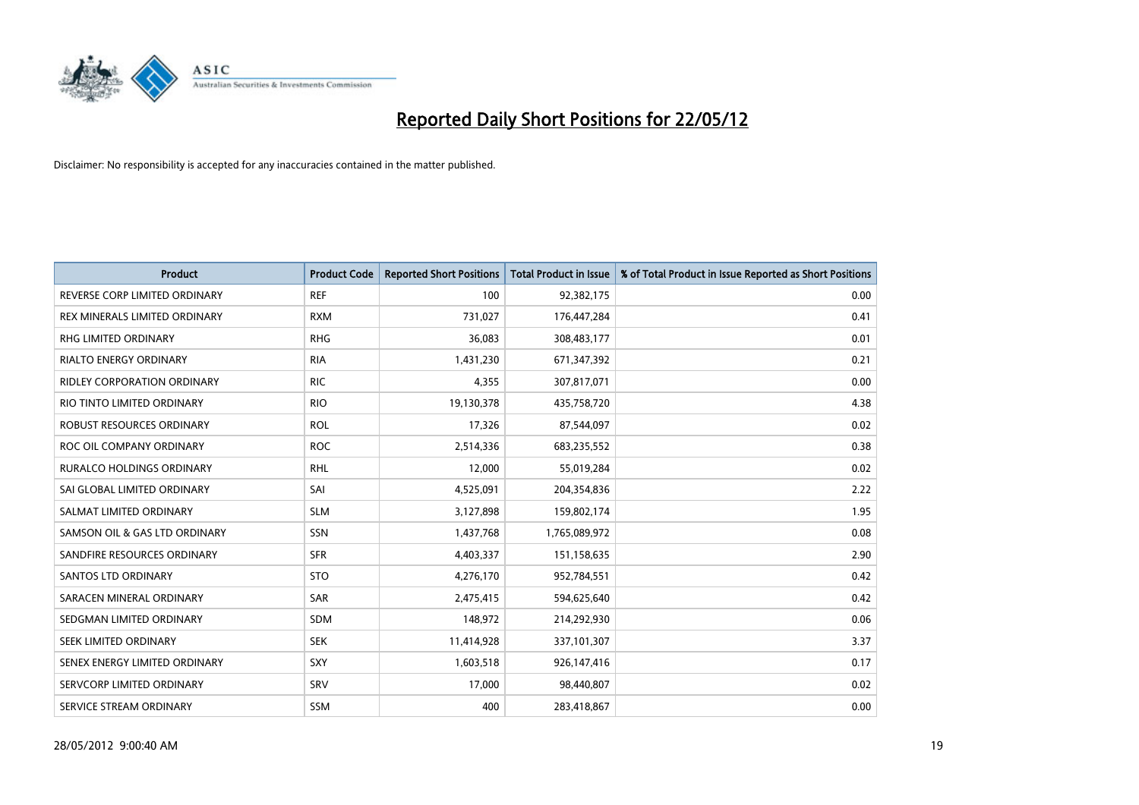

| <b>Product</b>                     | <b>Product Code</b> | <b>Reported Short Positions</b> | <b>Total Product in Issue</b> | % of Total Product in Issue Reported as Short Positions |
|------------------------------------|---------------------|---------------------------------|-------------------------------|---------------------------------------------------------|
| REVERSE CORP LIMITED ORDINARY      | <b>REF</b>          | 100                             | 92,382,175                    | 0.00                                                    |
| REX MINERALS LIMITED ORDINARY      | <b>RXM</b>          | 731,027                         | 176,447,284                   | 0.41                                                    |
| RHG LIMITED ORDINARY               | <b>RHG</b>          | 36,083                          | 308,483,177                   | 0.01                                                    |
| RIALTO ENERGY ORDINARY             | <b>RIA</b>          | 1,431,230                       | 671,347,392                   | 0.21                                                    |
| <b>RIDLEY CORPORATION ORDINARY</b> | <b>RIC</b>          | 4,355                           | 307,817,071                   | 0.00                                                    |
| RIO TINTO LIMITED ORDINARY         | <b>RIO</b>          | 19,130,378                      | 435,758,720                   | 4.38                                                    |
| ROBUST RESOURCES ORDINARY          | <b>ROL</b>          | 17,326                          | 87,544,097                    | 0.02                                                    |
| ROC OIL COMPANY ORDINARY           | <b>ROC</b>          | 2,514,336                       | 683,235,552                   | 0.38                                                    |
| <b>RURALCO HOLDINGS ORDINARY</b>   | <b>RHL</b>          | 12,000                          | 55,019,284                    | 0.02                                                    |
| SAI GLOBAL LIMITED ORDINARY        | SAI                 | 4,525,091                       | 204,354,836                   | 2.22                                                    |
| SALMAT LIMITED ORDINARY            | <b>SLM</b>          | 3,127,898                       | 159,802,174                   | 1.95                                                    |
| SAMSON OIL & GAS LTD ORDINARY      | SSN                 | 1,437,768                       | 1,765,089,972                 | 0.08                                                    |
| SANDFIRE RESOURCES ORDINARY        | <b>SFR</b>          | 4,403,337                       | 151,158,635                   | 2.90                                                    |
| SANTOS LTD ORDINARY                | <b>STO</b>          | 4,276,170                       | 952,784,551                   | 0.42                                                    |
| SARACEN MINERAL ORDINARY           | SAR                 | 2,475,415                       | 594,625,640                   | 0.42                                                    |
| SEDGMAN LIMITED ORDINARY           | <b>SDM</b>          | 148,972                         | 214,292,930                   | 0.06                                                    |
| SEEK LIMITED ORDINARY              | <b>SEK</b>          | 11,414,928                      | 337,101,307                   | 3.37                                                    |
| SENEX ENERGY LIMITED ORDINARY      | <b>SXY</b>          | 1,603,518                       | 926,147,416                   | 0.17                                                    |
| SERVCORP LIMITED ORDINARY          | SRV                 | 17,000                          | 98,440,807                    | 0.02                                                    |
| SERVICE STREAM ORDINARY            | SSM                 | 400                             | 283,418,867                   | 0.00                                                    |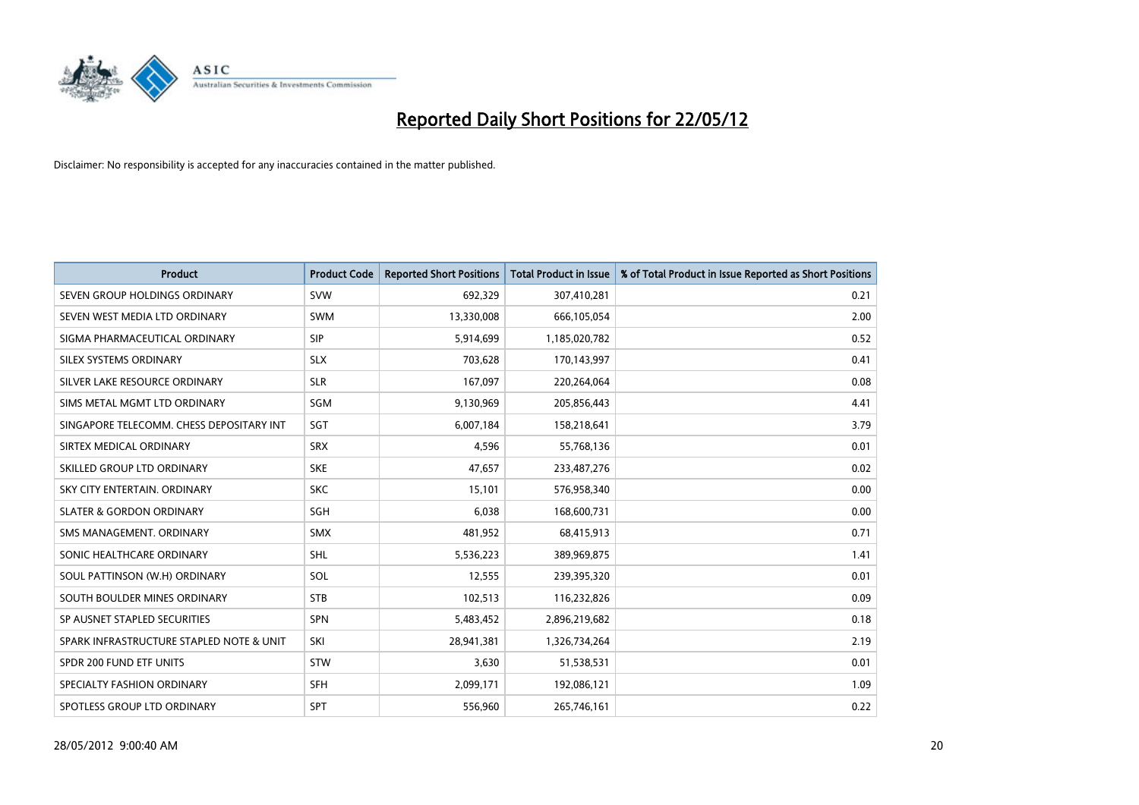

| <b>Product</b>                           | <b>Product Code</b> | <b>Reported Short Positions</b> | <b>Total Product in Issue</b> | % of Total Product in Issue Reported as Short Positions |
|------------------------------------------|---------------------|---------------------------------|-------------------------------|---------------------------------------------------------|
| SEVEN GROUP HOLDINGS ORDINARY            | <b>SVW</b>          | 692,329                         | 307,410,281                   | 0.21                                                    |
| SEVEN WEST MEDIA LTD ORDINARY            | <b>SWM</b>          | 13,330,008                      | 666,105,054                   | 2.00                                                    |
| SIGMA PHARMACEUTICAL ORDINARY            | <b>SIP</b>          | 5,914,699                       | 1,185,020,782                 | 0.52                                                    |
| SILEX SYSTEMS ORDINARY                   | <b>SLX</b>          | 703.628                         | 170,143,997                   | 0.41                                                    |
| SILVER LAKE RESOURCE ORDINARY            | <b>SLR</b>          | 167,097                         | 220,264,064                   | 0.08                                                    |
| SIMS METAL MGMT LTD ORDINARY             | SGM                 | 9,130,969                       | 205,856,443                   | 4.41                                                    |
| SINGAPORE TELECOMM. CHESS DEPOSITARY INT | <b>SGT</b>          | 6,007,184                       | 158,218,641                   | 3.79                                                    |
| SIRTEX MEDICAL ORDINARY                  | <b>SRX</b>          | 4,596                           | 55,768,136                    | 0.01                                                    |
| SKILLED GROUP LTD ORDINARY               | <b>SKE</b>          | 47,657                          | 233,487,276                   | 0.02                                                    |
| SKY CITY ENTERTAIN, ORDINARY             | <b>SKC</b>          | 15,101                          | 576,958,340                   | 0.00                                                    |
| <b>SLATER &amp; GORDON ORDINARY</b>      | SGH                 | 6,038                           | 168,600,731                   | 0.00                                                    |
| SMS MANAGEMENT, ORDINARY                 | <b>SMX</b>          | 481,952                         | 68,415,913                    | 0.71                                                    |
| SONIC HEALTHCARE ORDINARY                | SHL                 | 5,536,223                       | 389,969,875                   | 1.41                                                    |
| SOUL PATTINSON (W.H) ORDINARY            | SOL                 | 12,555                          | 239,395,320                   | 0.01                                                    |
| SOUTH BOULDER MINES ORDINARY             | <b>STB</b>          | 102,513                         | 116,232,826                   | 0.09                                                    |
| SP AUSNET STAPLED SECURITIES             | SPN                 | 5,483,452                       | 2,896,219,682                 | 0.18                                                    |
| SPARK INFRASTRUCTURE STAPLED NOTE & UNIT | SKI                 | 28,941,381                      | 1,326,734,264                 | 2.19                                                    |
| SPDR 200 FUND ETF UNITS                  | <b>STW</b>          | 3,630                           | 51,538,531                    | 0.01                                                    |
| SPECIALTY FASHION ORDINARY               | <b>SFH</b>          | 2,099,171                       | 192,086,121                   | 1.09                                                    |
| SPOTLESS GROUP LTD ORDINARY              | SPT                 | 556,960                         | 265,746,161                   | 0.22                                                    |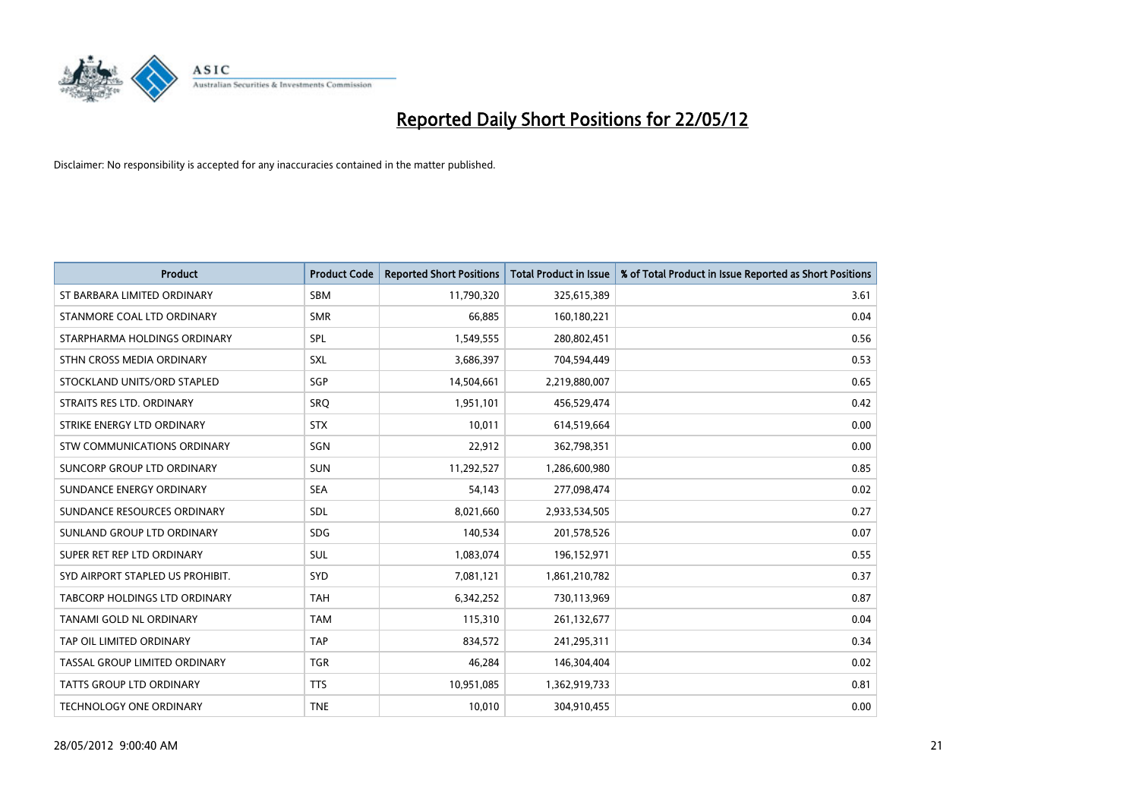

| <b>Product</b>                   | <b>Product Code</b> | <b>Reported Short Positions</b> | <b>Total Product in Issue</b> | % of Total Product in Issue Reported as Short Positions |
|----------------------------------|---------------------|---------------------------------|-------------------------------|---------------------------------------------------------|
| ST BARBARA LIMITED ORDINARY      | <b>SBM</b>          | 11,790,320                      | 325,615,389                   | 3.61                                                    |
| STANMORE COAL LTD ORDINARY       | <b>SMR</b>          | 66,885                          | 160,180,221                   | 0.04                                                    |
| STARPHARMA HOLDINGS ORDINARY     | SPL                 | 1,549,555                       | 280,802,451                   | 0.56                                                    |
| STHN CROSS MEDIA ORDINARY        | <b>SXL</b>          | 3,686,397                       | 704,594,449                   | 0.53                                                    |
| STOCKLAND UNITS/ORD STAPLED      | SGP                 | 14,504,661                      | 2,219,880,007                 | 0.65                                                    |
| STRAITS RES LTD. ORDINARY        | <b>SRQ</b>          | 1,951,101                       | 456,529,474                   | 0.42                                                    |
| STRIKE ENERGY LTD ORDINARY       | <b>STX</b>          | 10,011                          | 614,519,664                   | 0.00                                                    |
| STW COMMUNICATIONS ORDINARY      | SGN                 | 22,912                          | 362,798,351                   | 0.00                                                    |
| SUNCORP GROUP LTD ORDINARY       | <b>SUN</b>          | 11,292,527                      | 1,286,600,980                 | 0.85                                                    |
| SUNDANCE ENERGY ORDINARY         | <b>SEA</b>          | 54,143                          | 277,098,474                   | 0.02                                                    |
| SUNDANCE RESOURCES ORDINARY      | SDL                 | 8,021,660                       | 2,933,534,505                 | 0.27                                                    |
| SUNLAND GROUP LTD ORDINARY       | <b>SDG</b>          | 140,534                         | 201,578,526                   | 0.07                                                    |
| SUPER RET REP LTD ORDINARY       | SUL                 | 1,083,074                       | 196,152,971                   | 0.55                                                    |
| SYD AIRPORT STAPLED US PROHIBIT. | <b>SYD</b>          | 7,081,121                       | 1,861,210,782                 | 0.37                                                    |
| TABCORP HOLDINGS LTD ORDINARY    | <b>TAH</b>          | 6,342,252                       | 730,113,969                   | 0.87                                                    |
| TANAMI GOLD NL ORDINARY          | <b>TAM</b>          | 115,310                         | 261,132,677                   | 0.04                                                    |
| TAP OIL LIMITED ORDINARY         | <b>TAP</b>          | 834,572                         | 241,295,311                   | 0.34                                                    |
| TASSAL GROUP LIMITED ORDINARY    | <b>TGR</b>          | 46,284                          | 146,304,404                   | 0.02                                                    |
| <b>TATTS GROUP LTD ORDINARY</b>  | <b>TTS</b>          | 10,951,085                      | 1,362,919,733                 | 0.81                                                    |
| TECHNOLOGY ONE ORDINARY          | <b>TNE</b>          | 10,010                          | 304,910,455                   | 0.00                                                    |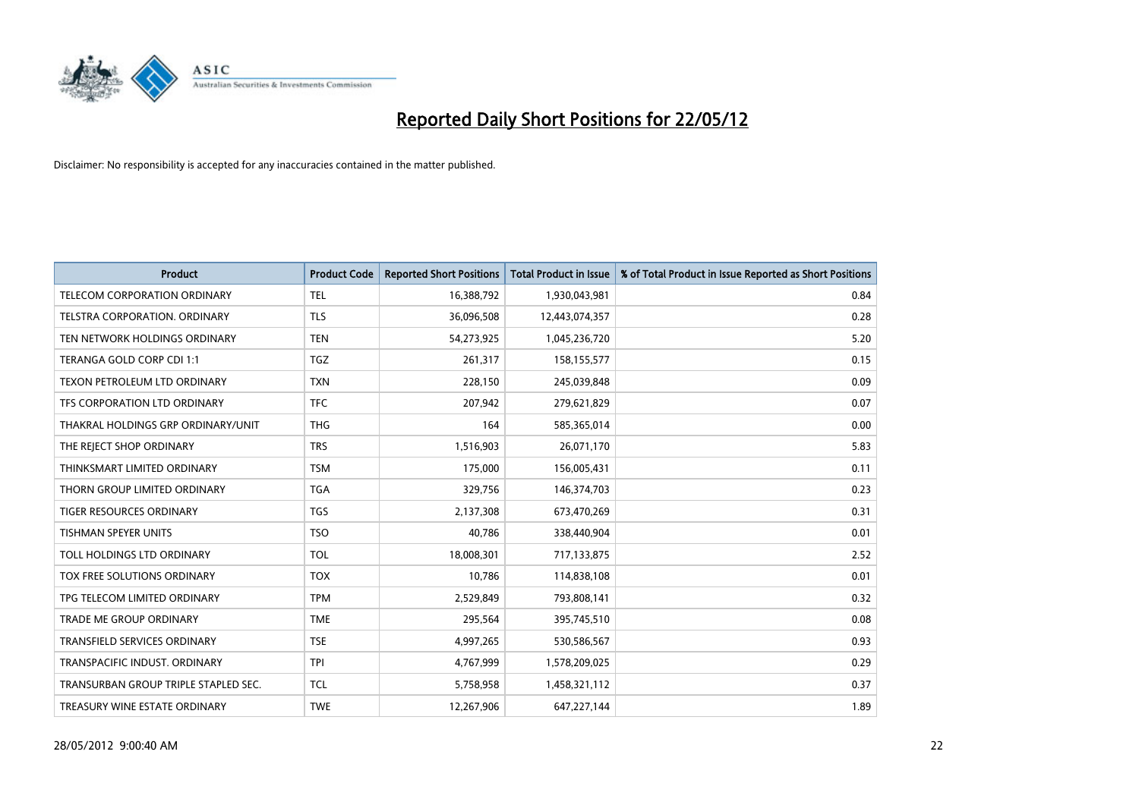

| <b>Product</b>                       | <b>Product Code</b> | <b>Reported Short Positions</b> | <b>Total Product in Issue</b> | % of Total Product in Issue Reported as Short Positions |
|--------------------------------------|---------------------|---------------------------------|-------------------------------|---------------------------------------------------------|
| <b>TELECOM CORPORATION ORDINARY</b>  | <b>TEL</b>          | 16,388,792                      | 1,930,043,981                 | 0.84                                                    |
| TELSTRA CORPORATION. ORDINARY        | <b>TLS</b>          | 36,096,508                      | 12,443,074,357                | 0.28                                                    |
| TEN NETWORK HOLDINGS ORDINARY        | <b>TEN</b>          | 54,273,925                      | 1,045,236,720                 | 5.20                                                    |
| TERANGA GOLD CORP CDI 1:1            | <b>TGZ</b>          | 261,317                         | 158,155,577                   | 0.15                                                    |
| TEXON PETROLEUM LTD ORDINARY         | <b>TXN</b>          | 228,150                         | 245,039,848                   | 0.09                                                    |
| TFS CORPORATION LTD ORDINARY         | <b>TFC</b>          | 207,942                         | 279,621,829                   | 0.07                                                    |
| THAKRAL HOLDINGS GRP ORDINARY/UNIT   | <b>THG</b>          | 164                             | 585,365,014                   | 0.00                                                    |
| THE REJECT SHOP ORDINARY             | <b>TRS</b>          | 1,516,903                       | 26,071,170                    | 5.83                                                    |
| THINKSMART LIMITED ORDINARY          | <b>TSM</b>          | 175,000                         | 156,005,431                   | 0.11                                                    |
| THORN GROUP LIMITED ORDINARY         | <b>TGA</b>          | 329,756                         | 146,374,703                   | 0.23                                                    |
| TIGER RESOURCES ORDINARY             | <b>TGS</b>          | 2,137,308                       | 673,470,269                   | 0.31                                                    |
| TISHMAN SPEYER UNITS                 | <b>TSO</b>          | 40,786                          | 338,440,904                   | 0.01                                                    |
| TOLL HOLDINGS LTD ORDINARY           | <b>TOL</b>          | 18,008,301                      | 717,133,875                   | 2.52                                                    |
| TOX FREE SOLUTIONS ORDINARY          | <b>TOX</b>          | 10,786                          | 114,838,108                   | 0.01                                                    |
| TPG TELECOM LIMITED ORDINARY         | <b>TPM</b>          | 2,529,849                       | 793,808,141                   | 0.32                                                    |
| TRADE ME GROUP ORDINARY              | <b>TME</b>          | 295,564                         | 395,745,510                   | 0.08                                                    |
| TRANSFIELD SERVICES ORDINARY         | <b>TSE</b>          | 4,997,265                       | 530,586,567                   | 0.93                                                    |
| TRANSPACIFIC INDUST, ORDINARY        | <b>TPI</b>          | 4,767,999                       | 1,578,209,025                 | 0.29                                                    |
| TRANSURBAN GROUP TRIPLE STAPLED SEC. | <b>TCL</b>          | 5,758,958                       | 1,458,321,112                 | 0.37                                                    |
| TREASURY WINE ESTATE ORDINARY        | <b>TWE</b>          | 12,267,906                      | 647,227,144                   | 1.89                                                    |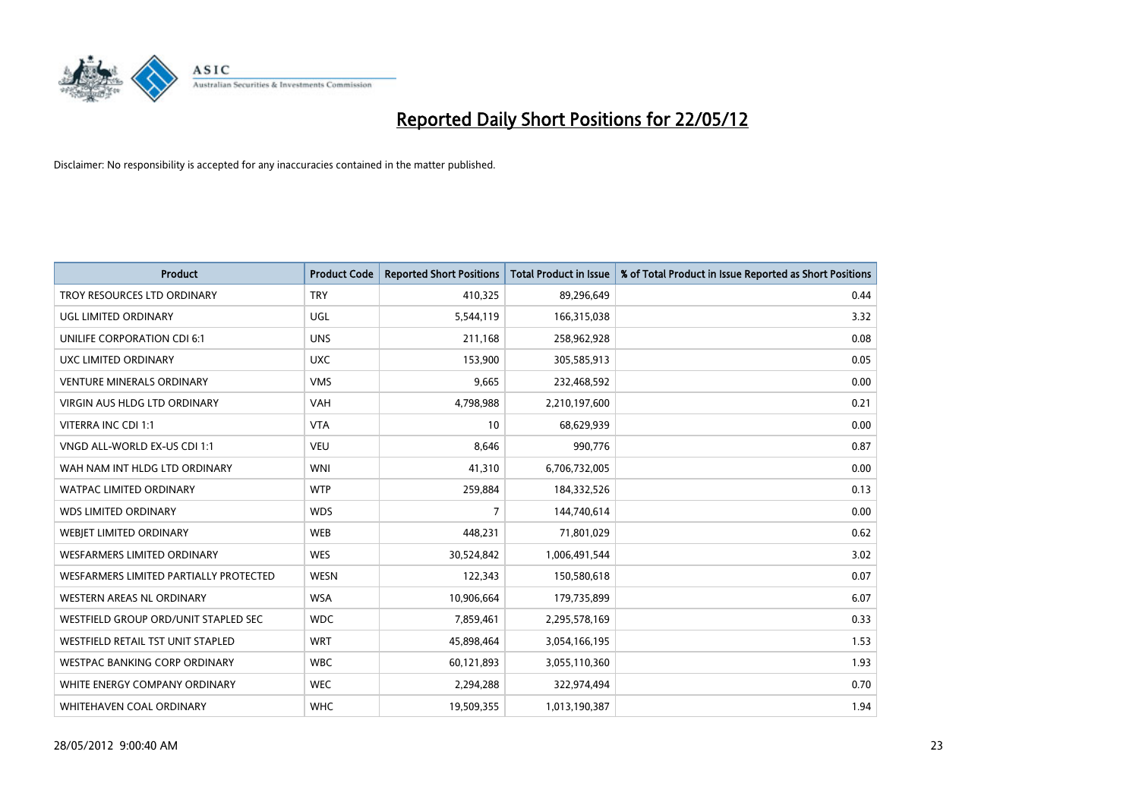

| <b>Product</b>                         | <b>Product Code</b> | <b>Reported Short Positions</b> | <b>Total Product in Issue</b> | % of Total Product in Issue Reported as Short Positions |
|----------------------------------------|---------------------|---------------------------------|-------------------------------|---------------------------------------------------------|
| TROY RESOURCES LTD ORDINARY            | <b>TRY</b>          | 410,325                         | 89,296,649                    | 0.44                                                    |
| UGL LIMITED ORDINARY                   | UGL                 | 5,544,119                       | 166,315,038                   | 3.32                                                    |
| UNILIFE CORPORATION CDI 6:1            | <b>UNS</b>          | 211,168                         | 258,962,928                   | 0.08                                                    |
| UXC LIMITED ORDINARY                   | <b>UXC</b>          | 153,900                         | 305,585,913                   | 0.05                                                    |
| <b>VENTURE MINERALS ORDINARY</b>       | <b>VMS</b>          | 9,665                           | 232,468,592                   | 0.00                                                    |
| <b>VIRGIN AUS HLDG LTD ORDINARY</b>    | <b>VAH</b>          | 4,798,988                       | 2,210,197,600                 | 0.21                                                    |
| VITERRA INC CDI 1:1                    | <b>VTA</b>          | 10                              | 68,629,939                    | 0.00                                                    |
| VNGD ALL-WORLD EX-US CDI 1:1           | <b>VEU</b>          | 8,646                           | 990,776                       | 0.87                                                    |
| WAH NAM INT HLDG LTD ORDINARY          | <b>WNI</b>          | 41,310                          | 6,706,732,005                 | 0.00                                                    |
| <b>WATPAC LIMITED ORDINARY</b>         | <b>WTP</b>          | 259,884                         | 184,332,526                   | 0.13                                                    |
| <b>WDS LIMITED ORDINARY</b>            | <b>WDS</b>          | $\overline{7}$                  | 144,740,614                   | 0.00                                                    |
| WEBIET LIMITED ORDINARY                | <b>WEB</b>          | 448,231                         | 71,801,029                    | 0.62                                                    |
| <b>WESFARMERS LIMITED ORDINARY</b>     | <b>WES</b>          | 30,524,842                      | 1,006,491,544                 | 3.02                                                    |
| WESFARMERS LIMITED PARTIALLY PROTECTED | <b>WESN</b>         | 122,343                         | 150,580,618                   | 0.07                                                    |
| WESTERN AREAS NL ORDINARY              | <b>WSA</b>          | 10,906,664                      | 179,735,899                   | 6.07                                                    |
| WESTFIELD GROUP ORD/UNIT STAPLED SEC   | <b>WDC</b>          | 7,859,461                       | 2,295,578,169                 | 0.33                                                    |
| WESTFIELD RETAIL TST UNIT STAPLED      | <b>WRT</b>          | 45,898,464                      | 3,054,166,195                 | 1.53                                                    |
| <b>WESTPAC BANKING CORP ORDINARY</b>   | <b>WBC</b>          | 60,121,893                      | 3,055,110,360                 | 1.93                                                    |
| WHITE ENERGY COMPANY ORDINARY          | <b>WEC</b>          | 2,294,288                       | 322,974,494                   | 0.70                                                    |
| WHITEHAVEN COAL ORDINARY               | <b>WHC</b>          | 19,509,355                      | 1,013,190,387                 | 1.94                                                    |